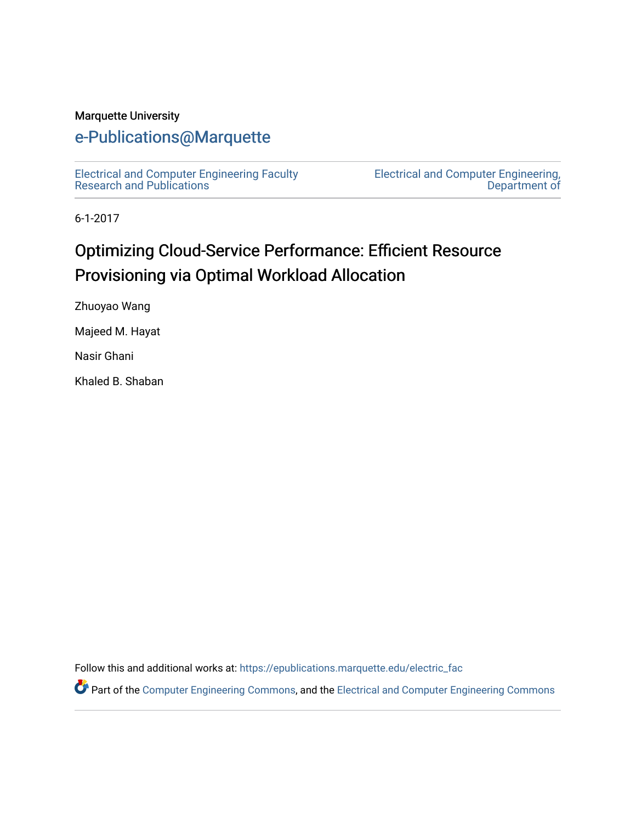#### Marquette University

# [e-Publications@Marquette](https://epublications.marquette.edu/)

[Electrical and Computer Engineering Faculty](https://epublications.marquette.edu/electric_fac) [Research and Publications](https://epublications.marquette.edu/electric_fac) 

[Electrical and Computer Engineering,](https://epublications.marquette.edu/electric)  [Department of](https://epublications.marquette.edu/electric) 

6-1-2017

# Optimizing Cloud-Service Performance: Efficient Resource Provisioning via Optimal Workload Allocation

Zhuoyao Wang

Majeed M. Hayat

Nasir Ghani

Khaled B. Shaban

Follow this and additional works at: [https://epublications.marquette.edu/electric\\_fac](https://epublications.marquette.edu/electric_fac?utm_source=epublications.marquette.edu%2Felectric_fac%2F556&utm_medium=PDF&utm_campaign=PDFCoverPages) 

Part of the [Computer Engineering Commons,](http://network.bepress.com/hgg/discipline/258?utm_source=epublications.marquette.edu%2Felectric_fac%2F556&utm_medium=PDF&utm_campaign=PDFCoverPages) and the [Electrical and Computer Engineering Commons](http://network.bepress.com/hgg/discipline/266?utm_source=epublications.marquette.edu%2Felectric_fac%2F556&utm_medium=PDF&utm_campaign=PDFCoverPages)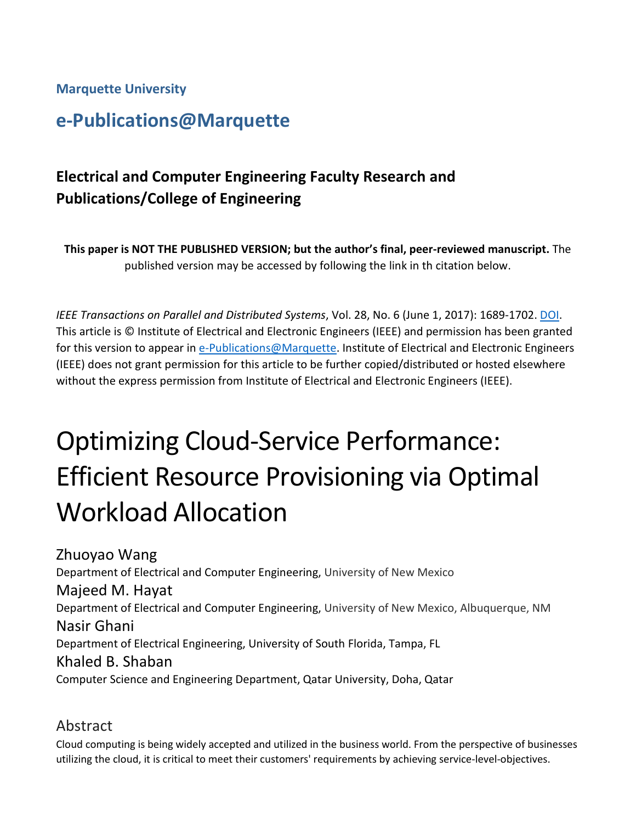**Marquette University**

# **e-Publications@Marquette**

# **Electrical and Computer Engineering Faculty Research and Publications/College of Engineering**

**This paper is NOT THE PUBLISHED VERSION; but the author's final, peer-reviewed manuscript.** The published version may be accessed by following the link in th citation below.

*IEEE Transactions on Parallel and Distributed Systems*, Vol. 28, No. 6 (June 1, 2017): 1689-1702. [DOI.](https://doi.org/10.1109/TPDS.2016.2628370) This article is © Institute of Electrical and Electronic Engineers (IEEE) and permission has been granted for this version to appear in [e-Publications@Marquette.](http://epublications.marquette.edu/) Institute of Electrical and Electronic Engineers (IEEE) does not grant permission for this article to be further copied/distributed or hosted elsewhere without the express permission from Institute of Electrical and Electronic Engineers (IEEE).

# Optimizing Cloud-Service Performance: Efficient Resource Provisioning via Optimal Workload Allocation

Zhuoyao Wang Department of Electrical and Computer Engineering, University of New Mexico Majeed M. Hayat Department of Electrical and Computer Engineering, University of New Mexico, Albuquerque, NM Nasir Ghani Department of Electrical Engineering, University of South Florida, Tampa, FL Khaled B. Shaban Computer Science and Engineering Department, Qatar University, Doha, Qatar

### Abstract

Cloud computing is being widely accepted and utilized in the business world. From the perspective of businesses utilizing the cloud, it is critical to meet their customers' requirements by achieving service-level-objectives.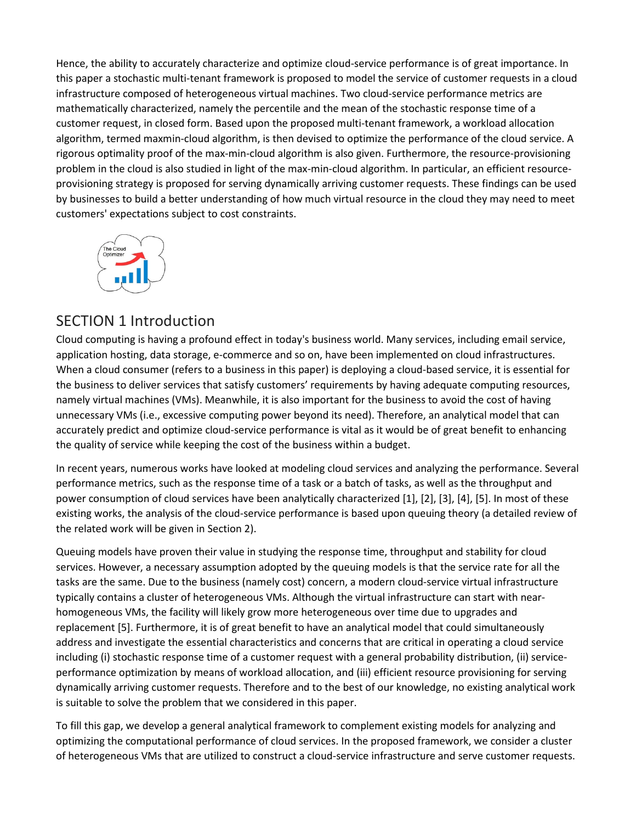Hence, the ability to accurately characterize and optimize cloud-service performance is of great importance. In this paper a stochastic multi-tenant framework is proposed to model the service of customer requests in a cloud infrastructure composed of heterogeneous virtual machines. Two cloud-service performance metrics are mathematically characterized, namely the percentile and the mean of the stochastic response time of a customer request, in closed form. Based upon the proposed multi-tenant framework, a workload allocation algorithm, termed maxmin-cloud algorithm, is then devised to optimize the performance of the cloud service. A rigorous optimality proof of the max-min-cloud algorithm is also given. Furthermore, the resource-provisioning problem in the cloud is also studied in light of the max-min-cloud algorithm. In particular, an efficient resourceprovisioning strategy is proposed for serving dynamically arriving customer requests. These findings can be used by businesses to build a better understanding of how much virtual resource in the cloud they may need to meet customers' expectations subject to cost constraints.



## SECTION 1 Introduction

Cloud computing is having a profound effect in today's business world. Many services, including email service, application hosting, data storage, e-commerce and so on, have been implemented on cloud infrastructures. When a cloud consumer (refers to a business in this paper) is deploying a cloud-based service, it is essential for the business to deliver services that satisfy customers' requirements by having adequate computing resources, namely virtual machines (VMs). Meanwhile, it is also important for the business to avoid the cost of having unnecessary VMs (i.e., excessive computing power beyond its need). Therefore, an analytical model that can accurately predict and optimize cloud-service performance is vital as it would be of great benefit to enhancing the quality of service while keeping the cost of the business within a budget.

In recent years, numerous works have looked at modeling cloud services and analyzing the performance. Several performance metrics, such as the response time of a task or a batch of tasks, as well as the throughput and power consumption of cloud services have been analytically characterized [1], [2], [3], [4], [5]. In most of these existing works, the analysis of the cloud-service performance is based upon queuing theory (a detailed review of the related work will be given in Section 2).

Queuing models have proven their value in studying the response time, throughput and stability for cloud services. However, a necessary assumption adopted by the queuing models is that the service rate for all the tasks are the same. Due to the business (namely cost) concern, a modern cloud-service virtual infrastructure typically contains a cluster of heterogeneous VMs. Although the virtual infrastructure can start with nearhomogeneous VMs, the facility will likely grow more heterogeneous over time due to upgrades and replacement [5]. Furthermore, it is of great benefit to have an analytical model that could simultaneously address and investigate the essential characteristics and concerns that are critical in operating a cloud service including (i) stochastic response time of a customer request with a general probability distribution, (ii) serviceperformance optimization by means of workload allocation, and (iii) efficient resource provisioning for serving dynamically arriving customer requests. Therefore and to the best of our knowledge, no existing analytical work is suitable to solve the problem that we considered in this paper.

To fill this gap, we develop a general analytical framework to complement existing models for analyzing and optimizing the computational performance of cloud services. In the proposed framework, we consider a cluster of heterogeneous VMs that are utilized to construct a cloud-service infrastructure and serve customer requests.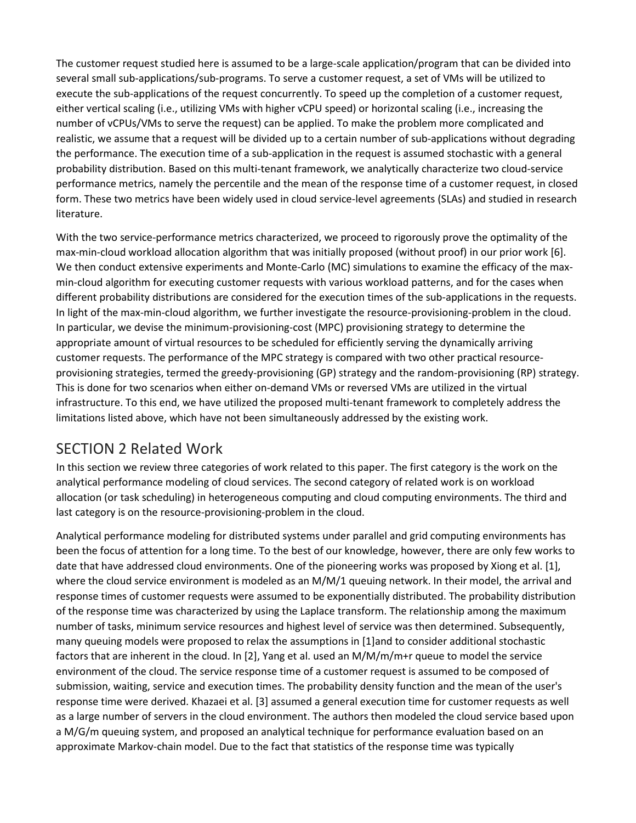The customer request studied here is assumed to be a large-scale application/program that can be divided into several small sub-applications/sub-programs. To serve a customer request, a set of VMs will be utilized to execute the sub-applications of the request concurrently. To speed up the completion of a customer request, either vertical scaling (i.e., utilizing VMs with higher vCPU speed) or horizontal scaling (i.e., increasing the number of vCPUs/VMs to serve the request) can be applied. To make the problem more complicated and realistic, we assume that a request will be divided up to a certain number of sub-applications without degrading the performance. The execution time of a sub-application in the request is assumed stochastic with a general probability distribution. Based on this multi-tenant framework, we analytically characterize two cloud-service performance metrics, namely the percentile and the mean of the response time of a customer request, in closed form. These two metrics have been widely used in cloud service-level agreements (SLAs) and studied in research literature.

With the two service-performance metrics characterized, we proceed to rigorously prove the optimality of the max-min-cloud workload allocation algorithm that was initially proposed (without proof) in our prior work [6]. We then conduct extensive experiments and Monte-Carlo (MC) simulations to examine the efficacy of the maxmin-cloud algorithm for executing customer requests with various workload patterns, and for the cases when different probability distributions are considered for the execution times of the sub-applications in the requests. In light of the max-min-cloud algorithm, we further investigate the resource-provisioning-problem in the cloud. In particular, we devise the minimum-provisioning-cost (MPC) provisioning strategy to determine the appropriate amount of virtual resources to be scheduled for efficiently serving the dynamically arriving customer requests. The performance of the MPC strategy is compared with two other practical resourceprovisioning strategies, termed the greedy-provisioning (GP) strategy and the random-provisioning (RP) strategy. This is done for two scenarios when either on-demand VMs or reversed VMs are utilized in the virtual infrastructure. To this end, we have utilized the proposed multi-tenant framework to completely address the limitations listed above, which have not been simultaneously addressed by the existing work.

# SECTION 2 Related Work

In this section we review three categories of work related to this paper. The first category is the work on the analytical performance modeling of cloud services. The second category of related work is on workload allocation (or task scheduling) in heterogeneous computing and cloud computing environments. The third and last category is on the resource-provisioning-problem in the cloud.

Analytical performance modeling for distributed systems under parallel and grid computing environments has been the focus of attention for a long time. To the best of our knowledge, however, there are only few works to date that have addressed cloud environments. One of the pioneering works was proposed by Xiong et al. [1], where the cloud service environment is modeled as an M/M/1 queuing network. In their model, the arrival and response times of customer requests were assumed to be exponentially distributed. The probability distribution of the response time was characterized by using the Laplace transform. The relationship among the maximum number of tasks, minimum service resources and highest level of service was then determined. Subsequently, many queuing models were proposed to relax the assumptions in [1]and to consider additional stochastic factors that are inherent in the cloud. In [2], Yang et al. used an M/M/m/m+r queue to model the service environment of the cloud. The service response time of a customer request is assumed to be composed of submission, waiting, service and execution times. The probability density function and the mean of the user's response time were derived. Khazaei et al. [3] assumed a general execution time for customer requests as well as a large number of servers in the cloud environment. The authors then modeled the cloud service based upon a M/G/m queuing system, and proposed an analytical technique for performance evaluation based on an approximate Markov-chain model. Due to the fact that statistics of the response time was typically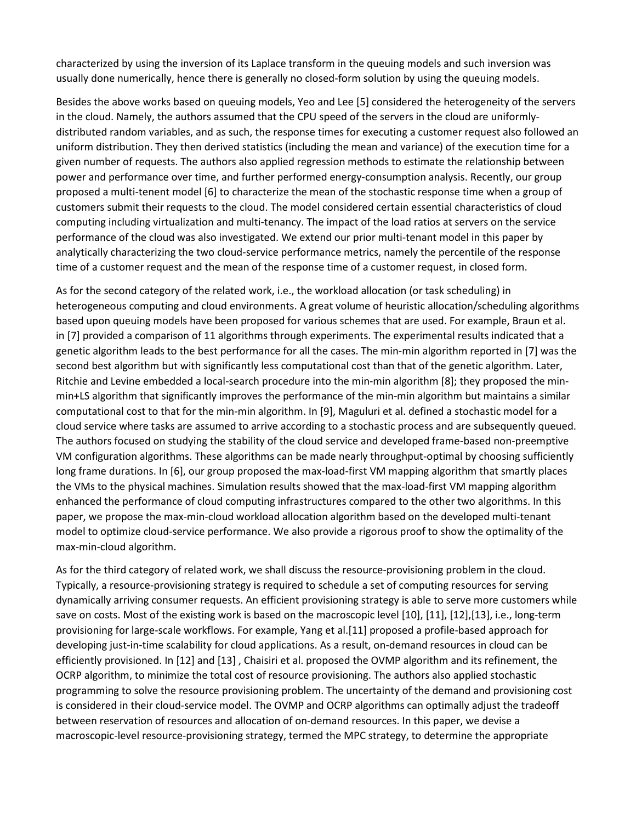characterized by using the inversion of its Laplace transform in the queuing models and such inversion was usually done numerically, hence there is generally no closed-form solution by using the queuing models.

Besides the above works based on queuing models, Yeo and Lee [5] considered the heterogeneity of the servers in the cloud. Namely, the authors assumed that the CPU speed of the servers in the cloud are uniformlydistributed random variables, and as such, the response times for executing a customer request also followed an uniform distribution. They then derived statistics (including the mean and variance) of the execution time for a given number of requests. The authors also applied regression methods to estimate the relationship between power and performance over time, and further performed energy-consumption analysis. Recently, our group proposed a multi-tenent model [6] to characterize the mean of the stochastic response time when a group of customers submit their requests to the cloud. The model considered certain essential characteristics of cloud computing including virtualization and multi-tenancy. The impact of the load ratios at servers on the service performance of the cloud was also investigated. We extend our prior multi-tenant model in this paper by analytically characterizing the two cloud-service performance metrics, namely the percentile of the response time of a customer request and the mean of the response time of a customer request, in closed form.

As for the second category of the related work, i.e., the workload allocation (or task scheduling) in heterogeneous computing and cloud environments. A great volume of heuristic allocation/scheduling algorithms based upon queuing models have been proposed for various schemes that are used. For example, Braun et al. in [7] provided a comparison of 11 algorithms through experiments. The experimental results indicated that a genetic algorithm leads to the best performance for all the cases. The min-min algorithm reported in [7] was the second best algorithm but with significantly less computational cost than that of the genetic algorithm. Later, Ritchie and Levine embedded a local-search procedure into the min-min algorithm [8]; they proposed the minmin+LS algorithm that significantly improves the performance of the min-min algorithm but maintains a similar computational cost to that for the min-min algorithm. In [9], Maguluri et al. defined a stochastic model for a cloud service where tasks are assumed to arrive according to a stochastic process and are subsequently queued. The authors focused on studying the stability of the cloud service and developed frame-based non-preemptive VM configuration algorithms. These algorithms can be made nearly throughput-optimal by choosing sufficiently long frame durations. In [6], our group proposed the max-load-first VM mapping algorithm that smartly places the VMs to the physical machines. Simulation results showed that the max-load-first VM mapping algorithm enhanced the performance of cloud computing infrastructures compared to the other two algorithms. In this paper, we propose the max-min-cloud workload allocation algorithm based on the developed multi-tenant model to optimize cloud-service performance. We also provide a rigorous proof to show the optimality of the max-min-cloud algorithm.

As for the third category of related work, we shall discuss the resource-provisioning problem in the cloud. Typically, a resource-provisioning strategy is required to schedule a set of computing resources for serving dynamically arriving consumer requests. An efficient provisioning strategy is able to serve more customers while save on costs. Most of the existing work is based on the macroscopic level [10], [11], [12],[13], i.e., long-term provisioning for large-scale workflows. For example, Yang et al.[11] proposed a profile-based approach for developing just-in-time scalability for cloud applications. As a result, on-demand resources in cloud can be efficiently provisioned. In [12] and [13] , Chaisiri et al. proposed the OVMP algorithm and its refinement, the OCRP algorithm, to minimize the total cost of resource provisioning. The authors also applied stochastic programming to solve the resource provisioning problem. The uncertainty of the demand and provisioning cost is considered in their cloud-service model. The OVMP and OCRP algorithms can optimally adjust the tradeoff between reservation of resources and allocation of on-demand resources. In this paper, we devise a macroscopic-level resource-provisioning strategy, termed the MPC strategy, to determine the appropriate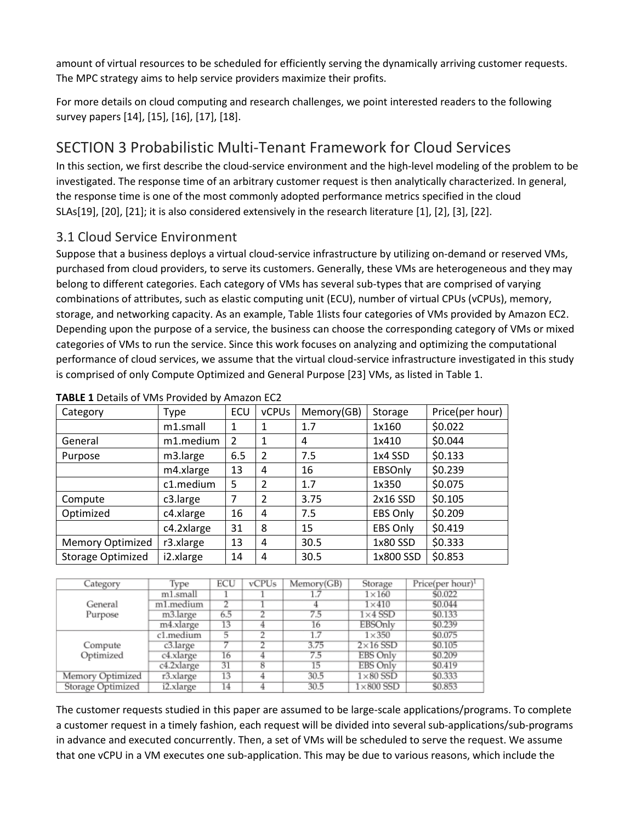amount of virtual resources to be scheduled for efficiently serving the dynamically arriving customer requests. The MPC strategy aims to help service providers maximize their profits.

For more details on cloud computing and research challenges, we point interested readers to the following survey papers [14], [15], [16], [17], [18].

# SECTION 3 Probabilistic Multi-Tenant Framework for Cloud Services

In this section, we first describe the cloud-service environment and the high-level modeling of the problem to be investigated. The response time of an arbitrary customer request is then analytically characterized. In general, the response time is one of the most commonly adopted performance metrics specified in the cloud SLAs[19], [20], [21]; it is also considered extensively in the research literature [1], [2], [3], [22].

### 3.1 Cloud Service Environment

Suppose that a business deploys a virtual cloud-service infrastructure by utilizing on-demand or reserved VMs, purchased from cloud providers, to serve its customers. Generally, these VMs are heterogeneous and they may belong to different categories. Each category of VMs has several sub-types that are comprised of varying combinations of attributes, such as elastic computing unit (ECU), number of virtual CPUs (vCPUs), memory, storage, and networking capacity. As an example, Table 1lists four categories of VMs provided by Amazon EC2. Depending upon the purpose of a service, the business can choose the corresponding category of VMs or mixed categories of VMs to run the service. Since this work focuses on analyzing and optimizing the computational performance of cloud services, we assume that the virtual cloud-service infrastructure investigated in this study is comprised of only Compute Optimized and General Purpose [23] VMs, as listed in Table 1.

| Category                 | Type       | ECU            | <b>vCPUs</b>   | Memory(GB) | Storage        | Price(per hour) |
|--------------------------|------------|----------------|----------------|------------|----------------|-----------------|
|                          | m1.small   | 1              |                | 1.7        | 1x160          | \$0.022         |
| General                  | m1.medium  | $\mathfrak{p}$ | 1              | 4          | 1x410          | \$0.044         |
| Purpose                  | m3.large   | 6.5            | 2              | 7.5        | 1x4 SSD        | \$0.133         |
|                          | m4.xlarge  | 13             | 4              | 16         | <b>EBSOnly</b> | \$0.239         |
|                          | c1.medium  | 5              | $\overline{2}$ | 1.7        | 1x350          | \$0.075         |
| Compute                  | c3.large   | 7              | $\mathcal{P}$  | 3.75       | 2x16 SSD       | \$0.105         |
| Optimized                | c4.xlarge  | 16             | 4              | 7.5        | EBS Only       | \$0.209         |
|                          | c4.2xlarge | 31             | 8              | 15         | EBS Only       | \$0.419         |
| <b>Memory Optimized</b>  | r3.xlarge  | 13             | 4              | 30.5       | 1x80 SSD       | \$0.333         |
| <b>Storage Optimized</b> | i2.xlarge  | 14             | 4              | 30.5       | 1x800 SSD      | \$0.853         |

|  |  |  |  | TABLE 1 Details of VMs Provided by Amazon EC2 |  |  |
|--|--|--|--|-----------------------------------------------|--|--|
|--|--|--|--|-----------------------------------------------|--|--|

| Category          | Type       | ECU | vCPUs | Memory(GB) | Storage          | Price(per hour) <sup>1</sup> |
|-------------------|------------|-----|-------|------------|------------------|------------------------------|
|                   | m1.small   |     |       | 1.7        | $1\times160$     | \$0.022                      |
| General           | m1.medium  | 2   |       |            | $1\times 410$    | \$0.044                      |
| Purpose           | m3.large   | 6.5 |       | 7.5        | $1\times4$ SSD   | \$0.133                      |
|                   | m4.xlarge  | 13  |       | 16         | <b>EBSOnly</b>   | \$0.239                      |
|                   | c1.medium  | 5   | 2     | 1.7        | $1\times350$     | \$0.075                      |
| Compute           | c3.large   |     |       | 3.75       | $2\times16$ SSD  | \$0.105                      |
| Optimized         | c4.xlarge  | 16  |       | 7.5        | EBS Only         | \$0.209                      |
|                   | c4.2xlarge | 31  | 8     | 15         | EBS Only         | \$0.419                      |
| Memory Optimized  | r3.xlarge  | 13  |       | 30.5       | $1\times80$ SSD  | \$0.333                      |
| Storage Optimized | i2.xlarge  | 14  |       | 30.5       | $1\times800$ SSD | \$0.853                      |

The customer requests studied in this paper are assumed to be large-scale applications/programs. To complete a customer request in a timely fashion, each request will be divided into several sub-applications/sub-programs in advance and executed concurrently. Then, a set of VMs will be scheduled to serve the request. We assume that one vCPU in a VM executes one sub-application. This may be due to various reasons, which include the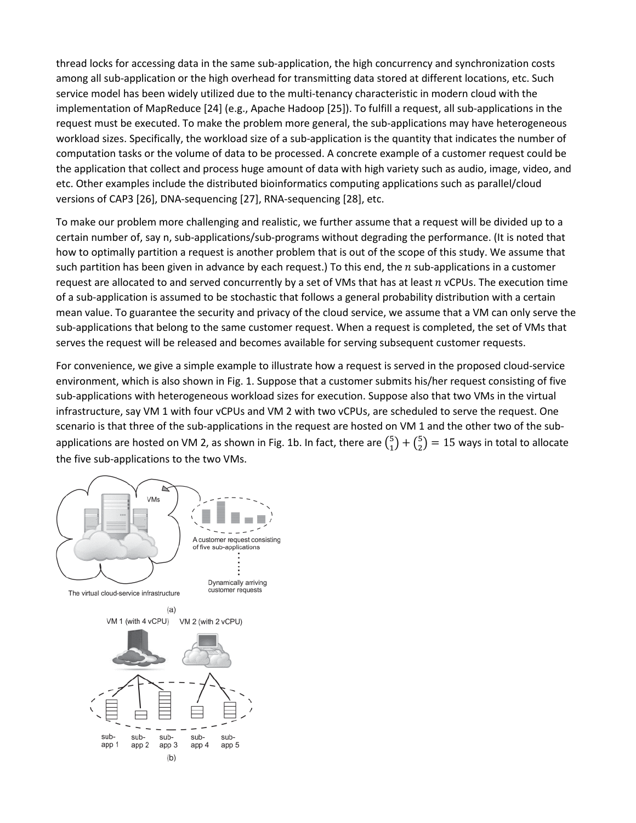thread locks for accessing data in the same sub-application, the high concurrency and synchronization costs among all sub-application or the high overhead for transmitting data stored at different locations, etc. Such service model has been widely utilized due to the multi-tenancy characteristic in modern cloud with the implementation of MapReduce [24] (e.g., Apache Hadoop [25]). To fulfill a request, all sub-applications in the request must be executed. To make the problem more general, the sub-applications may have heterogeneous workload sizes. Specifically, the workload size of a sub-application is the quantity that indicates the number of computation tasks or the volume of data to be processed. A concrete example of a customer request could be the application that collect and process huge amount of data with high variety such as audio, image, video, and etc. Other examples include the distributed bioinformatics computing applications such as parallel/cloud versions of CAP3 [26], DNA-sequencing [27], RNA-sequencing [28], etc.

To make our problem more challenging and realistic, we further assume that a request will be divided up to a certain number of, say n, sub-applications/sub-programs without degrading the performance. (It is noted that how to optimally partition a request is another problem that is out of the scope of this study. We assume that such partition has been given in advance by each request.) To this end, the *n* sub-applications in a customer request are allocated to and served concurrently by a set of VMs that has at least  $n$  vCPUs. The execution time of a sub-application is assumed to be stochastic that follows a general probability distribution with a certain mean value. To guarantee the security and privacy of the cloud service, we assume that a VM can only serve the sub-applications that belong to the same customer request. When a request is completed, the set of VMs that serves the request will be released and becomes available for serving subsequent customer requests.

For convenience, we give a simple example to illustrate how a request is served in the proposed cloud-service environment, which is also shown in Fig. 1. Suppose that a customer submits his/her request consisting of five sub-applications with heterogeneous workload sizes for execution. Suppose also that two VMs in the virtual infrastructure, say VM 1 with four vCPUs and VM 2 with two vCPUs, are scheduled to serve the request. One scenario is that three of the sub-applications in the request are hosted on VM 1 and the other two of the subapplications are hosted on VM 2, as shown in Fig. 1b. In fact, there are  ${5 \choose 1} + {5 \choose 2} = 15$  ways in total to allocate the five sub-applications to the two VMs.

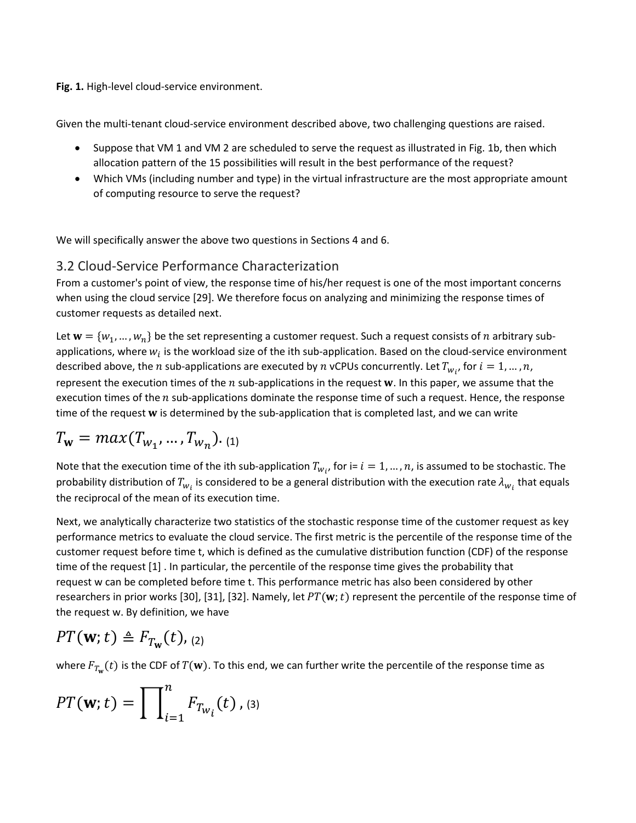**Fig. 1.** High-level cloud-service environment.

Given the multi-tenant cloud-service environment described above, two challenging questions are raised.

- Suppose that VM 1 and VM 2 are scheduled to serve the request as illustrated in Fig. 1b, then which allocation pattern of the 15 possibilities will result in the best performance of the request?
- Which VMs (including number and type) in the virtual infrastructure are the most appropriate amount of computing resource to serve the request?

We will specifically answer the above two questions in Sections 4 and 6.

#### 3.2 Cloud-Service Performance Characterization

From a customer's point of view, the response time of his/her request is one of the most important concerns when using the cloud service [29]. We therefore focus on analyzing and minimizing the response times of customer requests as detailed next.

Let  $w = \{w_1, ..., w_n\}$  be the set representing a customer request. Such a request consists of *n* arbitrary subapplications, where  $w_i$  is the workload size of the ith sub-application. Based on the cloud-service environment described above, the  $n$  sub-applications are executed by  $n$  vCPUs concurrently. Let  $T_{w_{i'}}$  for  $i=1,...,n$ , represent the execution times of the  $n$  sub-applications in the request  $w$ . In this paper, we assume that the execution times of the  $n$  sub-applications dominate the response time of such a request. Hence, the response time of the request w is determined by the sub-application that is completed last, and we can write

$$
T_{\mathbf{w}} = max(T_{w_1}, ..., T_{w_n}).
$$
 (1)

Note that the execution time of the ith sub-application  $T_{w_i}$ , for i=  $i = 1, ..., n$ , is assumed to be stochastic. The probability distribution of  $T_{w_i}$  is considered to be a general distribution with the execution rate  $\lambda_{w_i}$  that equals the reciprocal of the mean of its execution time.

Next, we analytically characterize two statistics of the stochastic response time of the customer request as key performance metrics to evaluate the cloud service. The first metric is the percentile of the response time of the customer request before time t, which is defined as the cumulative distribution function (CDF) of the response time of the request [1] . In particular, the percentile of the response time gives the probability that request w can be completed before time t. This performance metric has also been considered by other researchers in prior works [30], [31], [32]. Namely, let  $PT(w; t)$  represent the percentile of the response time of the request w. By definition, we have

$$
PT(\mathbf{w};t) \triangleq F_{T_{\mathbf{w}}}(t), (2)
$$

where  $F_{T_w}(t)$  is the CDF of  $T(w)$ . To this end, we can further write the percentile of the response time as

$$
PT(\mathbf{w}; t) = \prod_{i=1}^{n} F_{T_{w_i}}(t),
$$
 (3)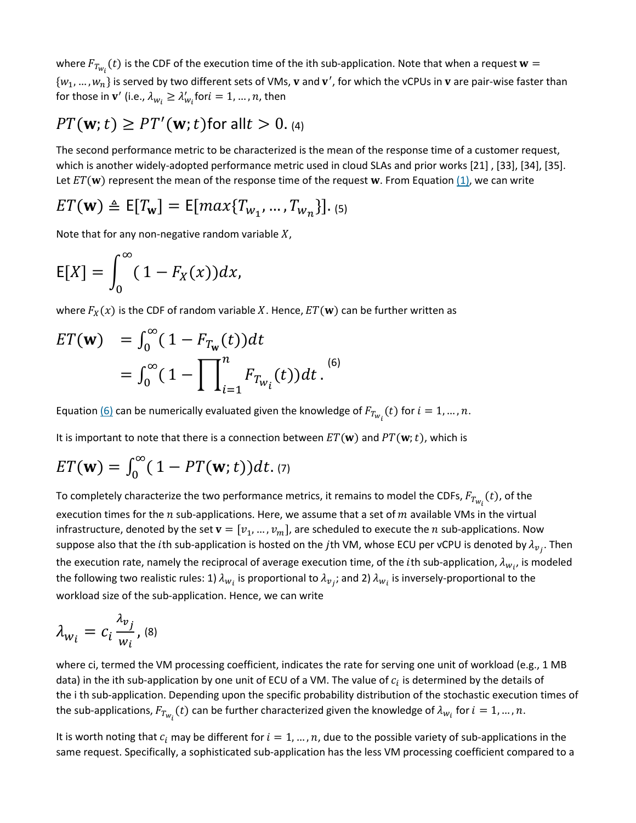where  $F_{T_{{\bm w}_l}}(t)$  is the CDF of the execution time of the ith sub-application. Note that when a request  ${\bf w}=$  $\{w_1,...,w_n\}$  is served by two different sets of VMs,  $v$  and  $v'$ , for which the vCPUs in  $v$  are pair-wise faster than for those in  $\mathbf{v}'$  (i.e.,  $\lambda_{w_i} \geq \lambda'_{w_i}$ for $i = 1, ..., n$ , then

# $PT(\mathbf{w}; t) \geq PT'(\mathbf{w}; t)$ for all $t > 0$ . (4)

The second performance metric to be characterized is the mean of the response time of a customer request, which is another widely-adopted performance metric used in cloud SLAs and prior works [21] , [33], [34], [35]. Let  $ET(w)$  represent the mean of the response time of the request w. From Equation [\(1\),](https://ieeexplore.ieee.org/document/#deqn1) we can write

$$
ET(\mathbf{w}) \triangleq E[T_{\mathbf{w}}] = E[max\{T_{w_1}, ..., T_{w_n}\}].
$$
 (5)

Note that for any non-negative random variable  $X$ ,

$$
E[X] = \int_0^\infty (1 - F_X(x)) dx,
$$

where  $F_X(x)$  is the CDF of random variable X. Hence,  $ET(w)$  can be further written as

$$
ET(\mathbf{w}) = \int_0^\infty (1 - F_{T_{\mathbf{w}}}(t)) dt
$$
  
= 
$$
\int_0^\infty (1 - \prod_{i=1}^n F_{T_{W_i}}(t)) dt.
$$
<sup>(6)</sup>

Equation <u>[\(6\)](https://ieeexplore.ieee.org/document/#deqn6)</u> can be numerically evaluated given the knowledge of  $F_{T_{{W}_l}}(t)$  for  $i=1,...,n$ .

It is important to note that there is a connection between  $ET(\mathbf{w})$  and  $PT(\mathbf{w};t)$ , which is

$$
ET(\mathbf{w}) = \int_0^\infty (1 - PT(\mathbf{w}; t)) dt. \tag{7}
$$

To completely characterize the two performance metrics, it remains to model the CDFs,  $F_{T_{{\bm{w}}_l}}(t)$ , of the execution times for the  $n$  sub-applications. Here, we assume that a set of  $m$  available VMs in the virtual infrastructure, denoted by the set  $\mathbf{v} = [v_1, ..., v_m]$ , are scheduled to execute the *n* sub-applications. Now suppose also that the *i*th sub-application is hosted on the *j*th VM, whose ECU per vCPU is denoted by  $\lambda_{v_j}$ . Then the execution rate, namely the reciprocal of average execution time, of the *i*th sub-application,  $\lambda_{w_i}$ , is modeled the following two realistic rules: 1)  $\lambda_{w_i}$  is proportional to  $\lambda_{v_j}$ ; and 2)  $\lambda_{w_i}$  is inversely-proportional to the workload size of the sub-application. Hence, we can write

$$
\lambda_{W_i}=c_i\frac{\lambda_{v_j}}{w_i},\text{ (8)}
$$

where ci, termed the VM processing coefficient, indicates the rate for serving one unit of workload (e.g., 1 MB data) in the ith sub-application by one unit of ECU of a VM. The value of  $c_i$  is determined by the details of the i th sub-application. Depending upon the specific probability distribution of the stochastic execution times of the sub-applications,  $F_{T_{W_i}}(t)$  can be further characterized given the knowledge of  $\lambda_{W_i}$  for  $i=1,...,n.$ 

It is worth noting that  $c_i$  may be different for  $i = 1, ..., n$ , due to the possible variety of sub-applications in the same request. Specifically, a sophisticated sub-application has the less VM processing coefficient compared to a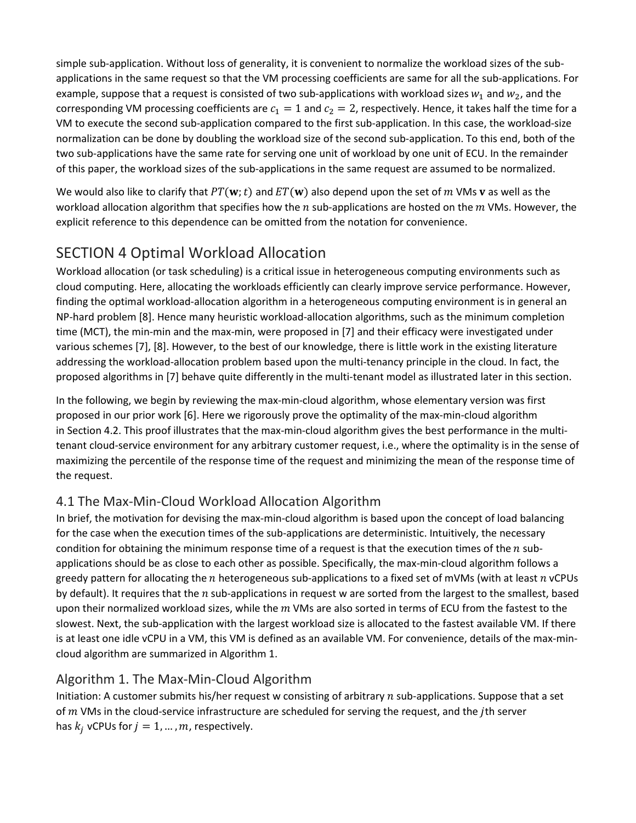simple sub-application. Without loss of generality, it is convenient to normalize the workload sizes of the subapplications in the same request so that the VM processing coefficients are same for all the sub-applications. For example, suppose that a request is consisted of two sub-applications with workload sizes  $w_1$  and  $w_2$ , and the corresponding VM processing coefficients are  $c_1 = 1$  and  $c_2 = 2$ , respectively. Hence, it takes half the time for a VM to execute the second sub-application compared to the first sub-application. In this case, the workload-size normalization can be done by doubling the workload size of the second sub-application. To this end, both of the two sub-applications have the same rate for serving one unit of workload by one unit of ECU. In the remainder of this paper, the workload sizes of the sub-applications in the same request are assumed to be normalized.

We would also like to clarify that  $PT(w; t)$  and  $ET(w)$  also depend upon the set of m VMs v as well as the workload allocation algorithm that specifies how the  $n$  sub-applications are hosted on the  $m$  VMs. However, the explicit reference to this dependence can be omitted from the notation for convenience.

# SECTION 4 Optimal Workload Allocation

Workload allocation (or task scheduling) is a critical issue in heterogeneous computing environments such as cloud computing. Here, allocating the workloads efficiently can clearly improve service performance. However, finding the optimal workload-allocation algorithm in a heterogeneous computing environment is in general an NP-hard problem [8]. Hence many heuristic workload-allocation algorithms, such as the minimum completion time (MCT), the min-min and the max-min, were proposed in [7] and their efficacy were investigated under various schemes [7], [8]. However, to the best of our knowledge, there is little work in the existing literature addressing the workload-allocation problem based upon the multi-tenancy principle in the cloud. In fact, the proposed algorithms in [7] behave quite differently in the multi-tenant model as illustrated later in this section.

In the following, we begin by reviewing the max-min-cloud algorithm, whose elementary version was first proposed in our prior work [6]. Here we rigorously prove the optimality of the max-min-cloud algorithm in Section 4.2. This proof illustrates that the max-min-cloud algorithm gives the best performance in the multitenant cloud-service environment for any arbitrary customer request, i.e., where the optimality is in the sense of maximizing the percentile of the response time of the request and minimizing the mean of the response time of the request.

# 4.1 The Max-Min-Cloud Workload Allocation Algorithm

In brief, the motivation for devising the max-min-cloud algorithm is based upon the concept of load balancing for the case when the execution times of the sub-applications are deterministic. Intuitively, the necessary condition for obtaining the minimum response time of a request is that the execution times of the  $n$  subapplications should be as close to each other as possible. Specifically, the max-min-cloud algorithm follows a greedy pattern for allocating the  $n$  heterogeneous sub-applications to a fixed set of mVMs (with at least  $n$  vCPUs by default). It requires that the  $n$  sub-applications in request w are sorted from the largest to the smallest, based upon their normalized workload sizes, while the  $m$  VMs are also sorted in terms of ECU from the fastest to the slowest. Next, the sub-application with the largest workload size is allocated to the fastest available VM. If there is at least one idle vCPU in a VM, this VM is defined as an available VM. For convenience, details of the max-mincloud algorithm are summarized in Algorithm 1.

### Algorithm 1. The Max-Min-Cloud Algorithm

Initiation: A customer submits his/her request w consisting of arbitrary  $n$  sub-applications. Suppose that a set of  $m$  VMs in the cloud-service infrastructure are scheduled for serving the request, and the *j*th server has  $k_i$  vCPUs for  $j = 1, ..., m$ , respectively.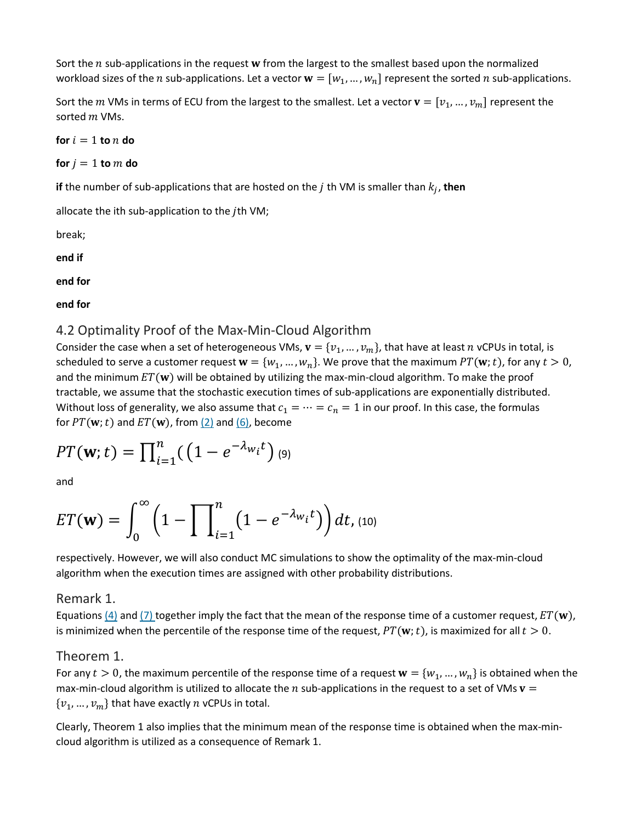Sort the  $n$  sub-applications in the request  $w$  from the largest to the smallest based upon the normalized workload sizes of the *n* sub-applications. Let a vector  $w = [w_1, ..., w_n]$  represent the sorted *n* sub-applications.

Sort the *m* VMs in terms of ECU from the largest to the smallest. Let a vector  $\mathbf{v} = [v_1, ..., v_m]$  represent the sorted *m* VMs.

 $f$  **for**  $i = 1$  **to**  $n$  **do** 

**for**  $j = 1$  **to**  $m$  **do** 

**if** the number of sub-applications that are hosted on the  $j$  th VM is smaller than  $k_j$ , then

allocate the ith sub-application to the  $j$ th VM;

break;

**end if**

**end for**

**end for**

#### 4.2 Optimality Proof of the Max-Min-Cloud Algorithm

Consider the case when a set of heterogeneous VMs,  $\mathbf{v} = \{v_1, ..., v_m\}$ , that have at least  $n$  vCPUs in total, is scheduled to serve a customer request  $\mathbf{w} = \{w_1, ..., w_n\}$ . We prove that the maximum  $PT(\mathbf{w}; t)$ , for any  $t > 0$ , and the minimum  $ET(w)$  will be obtained by utilizing the max-min-cloud algorithm. To make the proof tractable, we assume that the stochastic execution times of sub-applications are exponentially distributed. Without loss of generality, we also assume that  $c_1 = \cdots = c_n = 1$  in our proof. In this case, the formulas for  $PT(w; t)$  and  $ET(w)$ , from  $(2)$  and  $(6)$ , become

$$
PT(\mathbf{w};t)=\prod_{i=1}^n(\left(1-e^{-\lambda_{w_i}t}\right)(9))
$$

and

$$
ET(\mathbf{w}) = \int_0^\infty \left(1 - \prod_{i=1}^n \left(1 - e^{-\lambda_{w_i}t}\right)\right) dt
$$
\n(10)

respectively. However, we will also conduct MC simulations to show the optimality of the max-min-cloud algorithm when the execution times are assigned with other probability distributions.

#### Remark 1.

Equations  $(4)$  and  $(7)$  together imply the fact that the mean of the response time of a customer request,  $ET(\mathbf{w})$ , is minimized when the percentile of the response time of the request,  $PT(\mathbf{w}; t)$ , is maximized for all  $t > 0$ .

#### Theorem 1.

For any  $t > 0$ , the maximum percentile of the response time of a request  $w = \{w_1, ..., w_n\}$  is obtained when the max-min-cloud algorithm is utilized to allocate the  $n$  sub-applications in the request to a set of VMs  $v =$  $\{v_1, ..., v_m\}$  that have exactly n vCPUs in total.

Clearly, Theorem 1 also implies that the minimum mean of the response time is obtained when the max-mincloud algorithm is utilized as a consequence of Remark 1.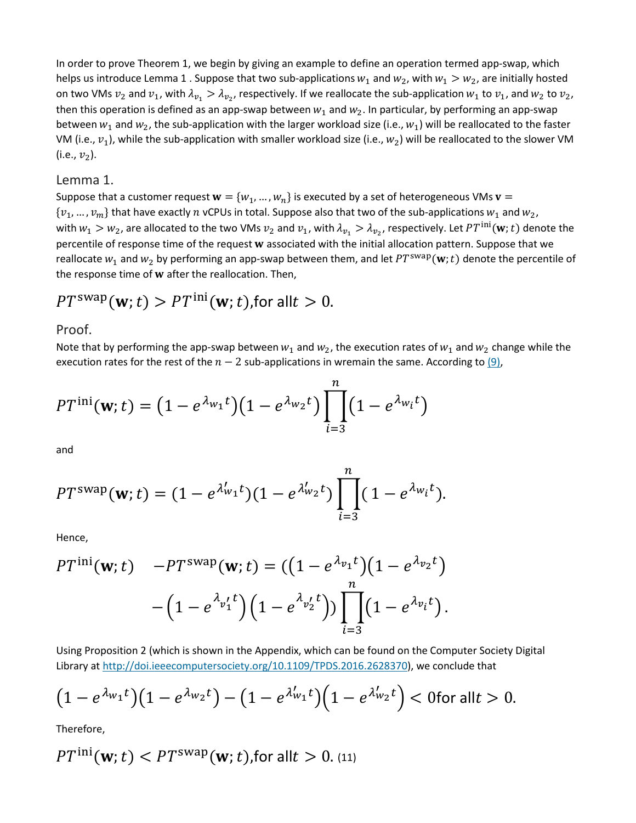In order to prove Theorem 1, we begin by giving an example to define an operation termed app-swap, which helps us introduce Lemma 1. Suppose that two sub-applications  $w_1$  and  $w_2$ , with  $w_1 > w_2$ , are initially hosted on two VMs  $v_2$  and  $v_1$ , with  $\lambda_{v_1} > \lambda_{v_2}$ , respectively. If we reallocate the sub-application  $w_1$  to  $v_1$ , and  $w_2$  to  $v_2$ , then this operation is defined as an app-swap between  $w_1$  and  $w_2$ . In particular, by performing an app-swap between  $w_1$  and  $w_2$ , the sub-application with the larger workload size (i.e.,  $w_1$ ) will be reallocated to the faster VM (i.e.,  $v_1$ ), while the sub-application with smaller workload size (i.e.,  $w_2$ ) will be reallocated to the slower VM (i.e.,  $v_2$ ).

#### Lemma 1.

Suppose that a customer request  $\mathbf{w} = \{w_1, ..., w_n\}$  is executed by a set of heterogeneous VMs  $\mathbf{v} =$  $\{v_1, ..., v_m\}$  that have exactly n vCPUs in total. Suppose also that two of the sub-applications  $w_1$  and  $w_2$ , with  $w_1 > w_2$ , are allocated to the two VMs  $v_2$  and  $v_1$ , with  $\lambda_{v_1} > \lambda_{v_2}$ , respectively. Let  $PT^{\text{ini}}(w; t)$  denote the percentile of response time of the request w associated with the initial allocation pattern. Suppose that we reallocate  $w_1$  and  $w_2$  by performing an app-swap between them, and let  $PT^{swap}(\mathbf{w};t)$  denote the percentile of the response time of  $w$  after the reallocation. Then,

$$
PT^{\text{swap}}(\mathbf{w};t) > PT^{\text{ini}}(\mathbf{w};t)
$$
, for all  $t > 0$ .

#### Proof.

Note that by performing the app-swap between  $w_1$  and  $w_2$ , the execution rates of  $w_1$  and  $w_2$  change while the execution rates for the rest of the  $n-2$  sub-applications in wremain the same. According to [\(9\),](https://ieeexplore.ieee.org/document/#deqn9)

$$
PT^{\text{ini}}(\mathbf{w};t) = (1 - e^{\lambda_{w_1}t})(1 - e^{\lambda_{w_2}t}) \prod_{i=3}^{n} (1 - e^{\lambda_{w_i}t})
$$

and

$$
PT^{\text{swap}}(\mathbf{w};t) = (1 - e^{\lambda'_{w_1}t})(1 - e^{\lambda'_{w_2}t}) \prod_{i=3}^{n} (1 - e^{\lambda_{w_i}t}).
$$

Hence,

$$
PT^{\text{ini}}(\mathbf{w};t) -PT^{\text{swap}}(\mathbf{w};t) = ((1 - e^{\lambda_{v_1}t})(1 - e^{\lambda_{v_2}t}) - (1 - e^{\lambda_{v'_1}t})(1 - e^{\lambda_{v'_2}t})) \prod_{i=3}^{n} (1 - e^{\lambda_{v_i}t}).
$$

Using Proposition 2 (which is shown in the Appendix, which can be found on the Computer Society Digital Library at [http://doi.ieeecomputersociety.org/10.1109/TPDS.2016.2628370\)](http://doi.ieeecomputersociety.org/10.1109/TPDS.2016.2628370), we conclude that

$$
(1 - e^{\lambda_{w_1}t})(1 - e^{\lambda_{w_2}t}) - (1 - e^{\lambda'_{w_1}t})(1 - e^{\lambda'_{w_2}t}) < 0 \text{ for all } t > 0.
$$

Therefore,

$$
PT^{\text{ini}}(\mathbf{w};t) < PT^{\text{swap}}(\mathbf{w};t)
$$
, for all  $t > 0$ . (11)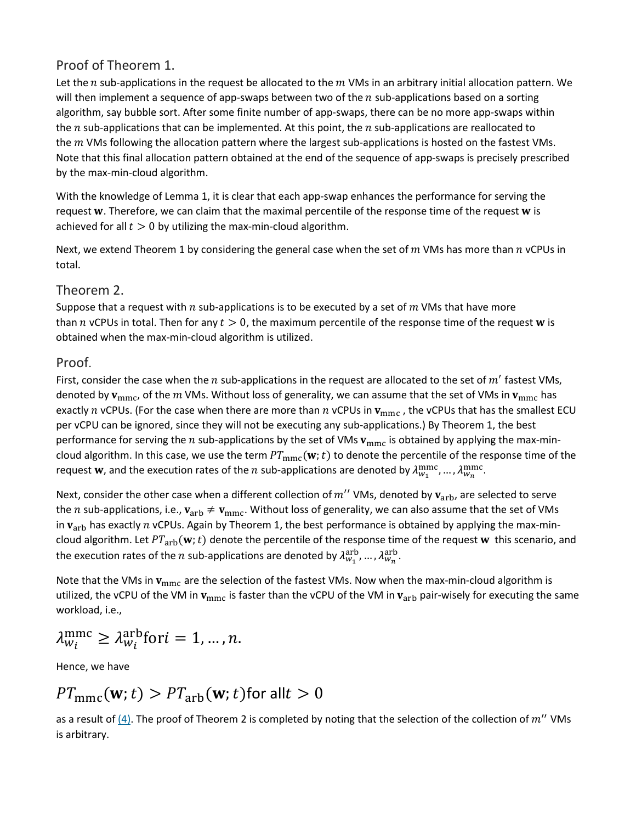### Proof of Theorem 1.

Let the *n* sub-applications in the request be allocated to the  $m$  VMs in an arbitrary initial allocation pattern. We will then implement a sequence of app-swaps between two of the  $n$  sub-applications based on a sorting algorithm, say bubble sort. After some finite number of app-swaps, there can be no more app-swaps within the  $n$  sub-applications that can be implemented. At this point, the  $n$  sub-applications are reallocated to the  $m$  VMs following the allocation pattern where the largest sub-applications is hosted on the fastest VMs. Note that this final allocation pattern obtained at the end of the sequence of app-swaps is precisely prescribed by the max-min-cloud algorithm.

With the knowledge of Lemma 1, it is clear that each app-swap enhances the performance for serving the request  $w$ . Therefore, we can claim that the maximal percentile of the response time of the request  $w$  is achieved for all  $t > 0$  by utilizing the max-min-cloud algorithm.

Next, we extend Theorem 1 by considering the general case when the set of  $m$  VMs has more than  $n$  vCPUs in total.

#### Theorem 2.

Suppose that a request with  $n$  sub-applications is to be executed by a set of  $m$  VMs that have more than *n* vCPUs in total. Then for any  $t > 0$ , the maximum percentile of the response time of the request **w** is obtained when the max-min-cloud algorithm is utilized.

#### Proof.

First, consider the case when the n sub-applications in the request are allocated to the set of  $m'$  fastest VMs, denoted by  $v_{\text{mmc}}$ , of the  $m$  VMs. Without loss of generality, we can assume that the set of VMs in  $v_{\text{mmc}}$  has exactly *n* vCPUs. (For the case when there are more than *n* vCPUs in  $v_{\text{mmc}}$ , the vCPUs that has the smallest ECU per vCPU can be ignored, since they will not be executing any sub-applications.) By Theorem 1, the best performance for serving the *n* sub-applications by the set of VMs  $v_{\text{mmc}}$  is obtained by applying the max-mincloud algorithm. In this case, we use the term  $PT_{\text{mmc}}(w; t)$  to denote the percentile of the response time of the request **w**, and the execution rates of the  $n$  sub-applications are denoted by  $\lambda_{w_1}^{\text{mmc}}$ , ...,  $\lambda_{w_n}^{\text{mmc}}$ .

Next, consider the other case when a different collection of  $m''$  VMs, denoted by  $v_{\text{arb}}$ , are selected to serve the *n* sub-applications, i.e.,  $v_{\rm arb} \neq v_{\rm mmc}$ . Without loss of generality, we can also assume that the set of VMs in  $v<sub>arb</sub>$  has exactly  $n$  vCPUs. Again by Theorem 1, the best performance is obtained by applying the max-mincloud algorithm. Let  $PT_{\text{arb}}(w; t)$  denote the percentile of the response time of the request w this scenario, and the execution rates of the  $n$  sub-applications are denoted by  $\lambda_{w_1}^{\rm arb},..., \lambda_{w_n}^{\rm arb}.$ 

Note that the VMs in  $v_{\text{mmc}}$  are the selection of the fastest VMs. Now when the max-min-cloud algorithm is utilized, the vCPU of the VM in  $v_{\rm mmc}$  is faster than the vCPU of the VM in  $v_{\rm arb}$  pair-wisely for executing the same workload, i.e.,

$$
\lambda_{w_i}^{\text{mmc}} \geq \lambda_{w_i}^{\text{arb}} \text{for } i = 1, \dots, n.
$$

Hence, we have

$$
PT_{\text{mmc}}(\mathbf{w}; t) > PT_{\text{arb}}(\mathbf{w}; t) \text{ for all } t > 0
$$

as a result of  $(4)$ . The proof of Theorem 2 is completed by noting that the selection of the collection of  $m''$  VMs is arbitrary.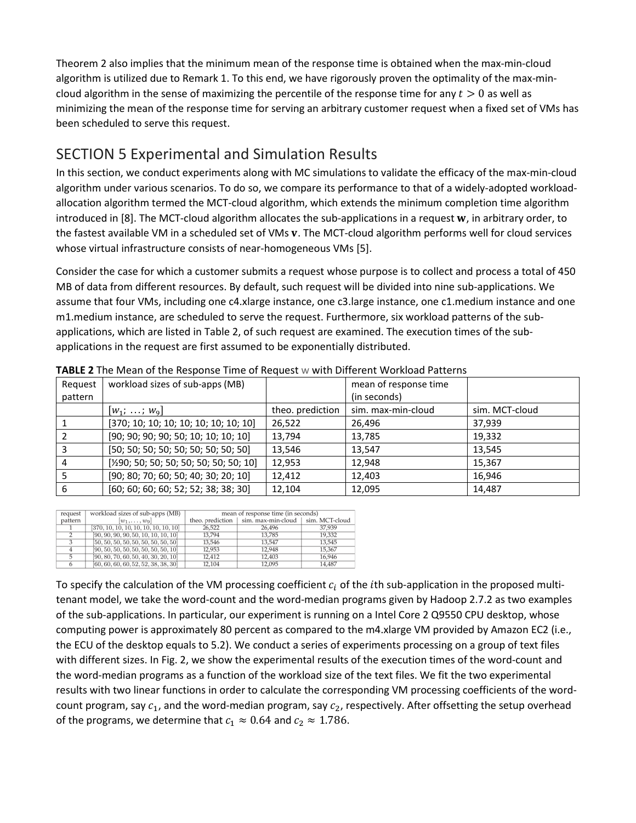Theorem 2 also implies that the minimum mean of the response time is obtained when the max-min-cloud algorithm is utilized due to Remark 1. To this end, we have rigorously proven the optimality of the max-mincloud algorithm in the sense of maximizing the percentile of the response time for any  $t > 0$  as well as minimizing the mean of the response time for serving an arbitrary customer request when a fixed set of VMs has been scheduled to serve this request.

# SECTION 5 Experimental and Simulation Results

In this section, we conduct experiments along with MC simulations to validate the efficacy of the max-min-cloud algorithm under various scenarios. To do so, we compare its performance to that of a widely-adopted workloadallocation algorithm termed the MCT-cloud algorithm, which extends the minimum completion time algorithm introduced in  $[8]$ . The MCT-cloud algorithm allocates the sub-applications in a request  $w$ , in arbitrary order, to the fastest available VM in a scheduled set of VMs v. The MCT-cloud algorithm performs well for cloud services whose virtual infrastructure consists of near-homogeneous VMs [5].

Consider the case for which a customer submits a request whose purpose is to collect and process a total of 450 MB of data from different resources. By default, such request will be divided into nine sub-applications. We assume that four VMs, including one c4.xlarge instance, one c3.large instance, one c1.medium instance and one m1.medium instance, are scheduled to serve the request. Furthermore, six workload patterns of the subapplications, which are listed in Table 2, of such request are examined. The execution times of the subapplications in the request are first assumed to be exponentially distributed.

| Request<br>pattern | workload sizes of sub-apps (MB)                     |                  | mean of response time<br>(in seconds) |                |
|--------------------|-----------------------------------------------------|------------------|---------------------------------------|----------------|
|                    | $ W_1; \ldots; W_9 $                                | theo. prediction | sim. max-min-cloud                    | sim. MCT-cloud |
|                    | [370; 10; 10; 10; 10; 10; 10; 10; 10]               | 26,522           | 26,496                                | 37,939         |
|                    | [90; 90; 90; 90; 50; 10; 10; 10; 10]                | 13,794           | 13,785                                | 19,332         |
|                    | [50; 50; 50; 50; 50; 50; 50; 50; 50]                | 13,546           | 13,547                                | 13,545         |
|                    | [ $\frac{1}{2}90$ ; 50; 50; 50; 50; 50; 50; 50; 10] | 12,953           | 12,948                                | 15,367         |
|                    | [90; 80; 70; 60; 50; 40; 30; 20; 10]                | 12,412           | 12,403                                | 16,946         |
| 6                  | [60; 60; 60; 60; 52; 52; 38; 38; 30]                | 12,104           | 12,095                                | 14,487         |

**TABLE 2** The Mean of the Response Time of Request w with Different Workload Patterns

| request       | workload sizes of sub-apps (MB)       | mean of response time (in seconds) |                                                        |        |  |  |
|---------------|---------------------------------------|------------------------------------|--------------------------------------------------------|--------|--|--|
| pattern       | $w_1, \ldots, w_9$                    |                                    | theo. prediction   sim. max-min-cloud   sim. MCT-cloud |        |  |  |
|               | [370, 10, 10, 10, 10, 10, 10, 10, 10] | 26.522                             | 26.496                                                 | 37.939 |  |  |
|               | [90, 90, 90, 90, 50, 10, 10, 10, 10]  | 13.794                             | 13.785                                                 | 19,332 |  |  |
| $\mathcal{L}$ | [50, 50, 50, 50, 50, 50, 50, 50, 50]  | 13,546                             | 13,547                                                 | 13,545 |  |  |
|               | [90, 50, 50, 50, 50, 50, 50, 50, 10]  | 12.953                             | 12.948                                                 | 15.367 |  |  |
|               | [90, 80, 70, 60, 50, 40, 30, 20, 10]  | 12.412                             | 12,403                                                 | 16.946 |  |  |
|               | [60, 60, 60, 60, 52, 52, 38, 38, 30]  | 12.104                             | 12.095                                                 | 14.487 |  |  |

To specify the calculation of the VM processing coefficient  $c_i$  of the *i*th sub-application in the proposed multitenant model, we take the word-count and the word-median programs given by Hadoop 2.7.2 as two examples of the sub-applications. In particular, our experiment is running on a Intel Core 2 Q9550 CPU desktop, whose computing power is approximately 80 percent as compared to the m4.xlarge VM provided by Amazon EC2 (i.e., the ECU of the desktop equals to 5.2). We conduct a series of experiments processing on a group of text files with different sizes. In Fig. 2, we show the experimental results of the execution times of the word-count and the word-median programs as a function of the workload size of the text files. We fit the two experimental results with two linear functions in order to calculate the corresponding VM processing coefficients of the wordcount program, say  $c_1$ , and the word-median program, say  $c_2$ , respectively. After offsetting the setup overhead of the programs, we determine that  $c_1 \approx 0.64$  and  $c_2 \approx 1.786$ .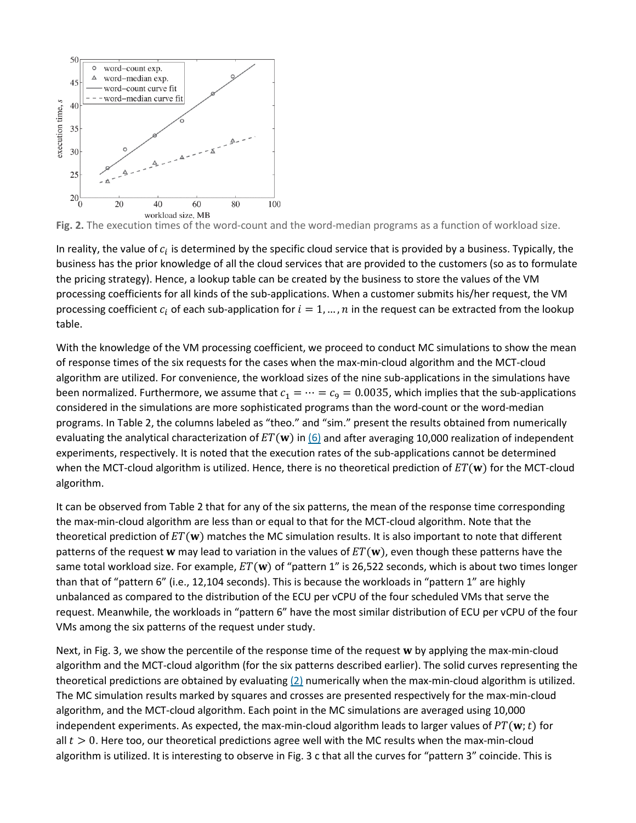

**Fig. 2.** The execution times of the word-count and the word-median programs as a function of workload size.

In reality, the value of  $c_i$  is determined by the specific cloud service that is provided by a business. Typically, the business has the prior knowledge of all the cloud services that are provided to the customers (so as to formulate the pricing strategy). Hence, a lookup table can be created by the business to store the values of the VM processing coefficients for all kinds of the sub-applications. When a customer submits his/her request, the VM processing coefficient  $c_i$  of each sub-application for  $i = 1, ..., n$  in the request can be extracted from the lookup table.

With the knowledge of the VM processing coefficient, we proceed to conduct MC simulations to show the mean of response times of the six requests for the cases when the max-min-cloud algorithm and the MCT-cloud algorithm are utilized. For convenience, the workload sizes of the nine sub-applications in the simulations have been normalized. Furthermore, we assume that  $c_1 = \cdots = c_9 = 0.0035$ , which implies that the sub-applications considered in the simulations are more sophisticated programs than the word-count or the word-median programs. In Table 2, the columns labeled as "theo." and "sim." present the results obtained from numerically evaluating the analytical characterization of  $ET(w)$  in [\(6\)](https://ieeexplore.ieee.org/document/#deqn6) and after averaging 10,000 realization of independent experiments, respectively. It is noted that the execution rates of the sub-applications cannot be determined when the MCT-cloud algorithm is utilized. Hence, there is no theoretical prediction of  $ET(w)$  for the MCT-cloud algorithm.

It can be observed from Table 2 that for any of the six patterns, the mean of the response time corresponding the max-min-cloud algorithm are less than or equal to that for the MCT-cloud algorithm. Note that the theoretical prediction of  $ET(\mathbf{w})$  matches the MC simulation results. It is also important to note that different patterns of the request w may lead to variation in the values of  $ET(w)$ , even though these patterns have the same total workload size. For example,  $ET(w)$  of "pattern 1" is 26,522 seconds, which is about two times longer than that of "pattern 6" (i.e., 12,104 seconds). This is because the workloads in "pattern 1" are highly unbalanced as compared to the distribution of the ECU per vCPU of the four scheduled VMs that serve the request. Meanwhile, the workloads in "pattern 6" have the most similar distribution of ECU per vCPU of the four VMs among the six patterns of the request under study.

Next, in Fig. 3, we show the percentile of the response time of the request w by applying the max-min-cloud algorithm and the MCT-cloud algorithm (for the six patterns described earlier). The solid curves representing the theoretical predictions are obtained by evaluating  $(2)$  numerically when the max-min-cloud algorithm is utilized. The MC simulation results marked by squares and crosses are presented respectively for the max-min-cloud algorithm, and the MCT-cloud algorithm. Each point in the MC simulations are averaged using 10,000 independent experiments. As expected, the max-min-cloud algorithm leads to larger values of  $PT(\mathbf{w};t)$  for all  $t > 0$ . Here too, our theoretical predictions agree well with the MC results when the max-min-cloud algorithm is utilized. It is interesting to observe in Fig. 3 c that all the curves for "pattern 3" coincide. This is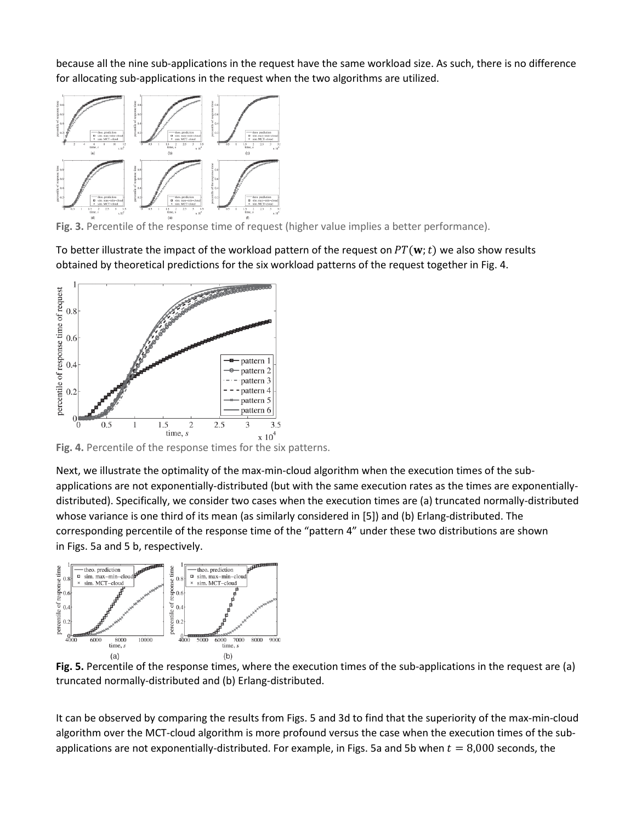because all the nine sub-applications in the request have the same workload size. As such, there is no difference for allocating sub-applications in the request when the two algorithms are utilized.



**Fig. 3.** Percentile of the response time of request (higher value implies a better performance).

To better illustrate the impact of the workload pattern of the request on  $PT(\mathbf{w};t)$  we also show results obtained by theoretical predictions for the six workload patterns of the request together in Fig. 4.



<sup>tume, s</sup> x 10<sup>4</sup><br>**Fig. 4.** Percentile of the response times for the six patterns.

Next, we illustrate the optimality of the max-min-cloud algorithm when the execution times of the subapplications are not exponentially-distributed (but with the same execution rates as the times are exponentiallydistributed). Specifically, we consider two cases when the execution times are (a) truncated normally-distributed whose variance is one third of its mean (as similarly considered in [5]) and (b) Erlang-distributed. The corresponding percentile of the response time of the "pattern 4" under these two distributions are shown in Figs. 5a and 5 b, respectively.



**Fig. 5.** Percentile of the response times, where the execution times of the sub-applications in the request are (a) truncated normally-distributed and (b) Erlang-distributed.

It can be observed by comparing the results from Figs. 5 and 3d to find that the superiority of the max-min-cloud algorithm over the MCT-cloud algorithm is more profound versus the case when the execution times of the subapplications are not exponentially-distributed. For example, in Figs. 5a and 5b when  $t = 8,000$  seconds, the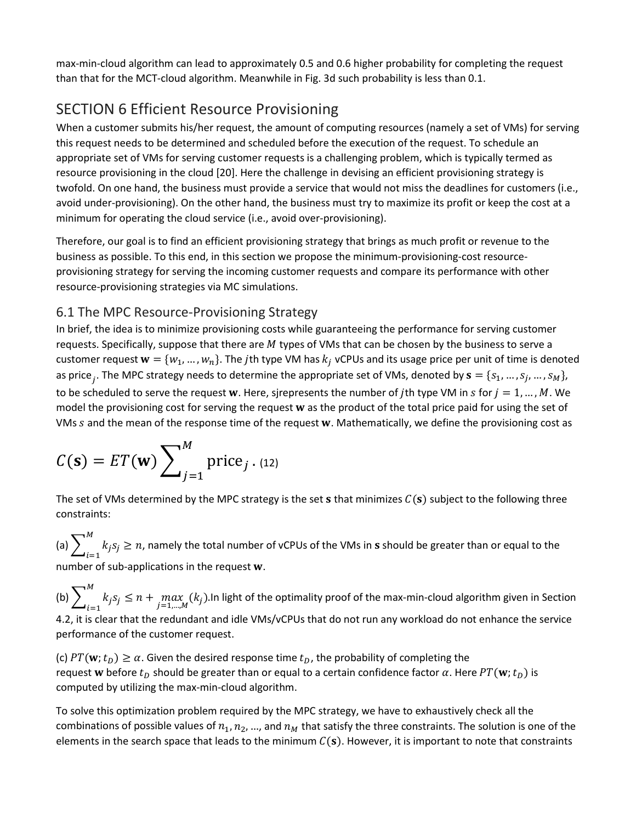max-min-cloud algorithm can lead to approximately 0.5 and 0.6 higher probability for completing the request than that for the MCT-cloud algorithm. Meanwhile in Fig. 3d such probability is less than 0.1.

# SECTION 6 Efficient Resource Provisioning

When a customer submits his/her request, the amount of computing resources (namely a set of VMs) for serving this request needs to be determined and scheduled before the execution of the request. To schedule an appropriate set of VMs for serving customer requests is a challenging problem, which is typically termed as resource provisioning in the cloud [20]. Here the challenge in devising an efficient provisioning strategy is twofold. On one hand, the business must provide a service that would not miss the deadlines for customers (i.e., avoid under-provisioning). On the other hand, the business must try to maximize its profit or keep the cost at a minimum for operating the cloud service (i.e., avoid over-provisioning).

Therefore, our goal is to find an efficient provisioning strategy that brings as much profit or revenue to the business as possible. To this end, in this section we propose the minimum-provisioning-cost resourceprovisioning strategy for serving the incoming customer requests and compare its performance with other resource-provisioning strategies via MC simulations.

### 6.1 The MPC Resource-Provisioning Strategy

In brief, the idea is to minimize provisioning costs while guaranteeing the performance for serving customer requests. Specifically, suppose that there are  $M$  types of VMs that can be chosen by the business to serve a customer request  $w = \{w_1, ..., w_n\}$ . The *j*th type VM has  $k_j$  vCPUs and its usage price per unit of time is denoted as price<sub>j</sub>. The MPC strategy needs to determine the appropriate set of VMs, denoted by  $s = \{s_1, ..., s_j, ..., s_M\}$ , to be scheduled to serve the request w. Here, sjrepresents the number of jth type VM in s for  $j = 1, ..., M$ . We model the provisioning cost for serving the request w as the product of the total price paid for using the set of VMs s and the mean of the response time of the request w. Mathematically, we define the provisioning cost as

$$
C(\mathbf{s}) = ET(\mathbf{w}) \sum_{j=1}^{M} \text{price}_{j} . (12)
$$

The set of VMs determined by the MPC strategy is the set **s** that minimizes  $C(s)$  subject to the following three constraints:

(a)  $\sum_{i=1}^{M} k_j s_j \geq n$  $k_j s_j \ge n$ , namely the total number of vCPUs of the VMs in **s** should be greater than or equal to the  $i=1$ number of sub-applications in the request  $w$ .

(b)  $\sum_{i=1}^{\infty} k_j s_j \leq n + \max_{j=1,\dots,M} (k_j).$ M  $_{l=1}$ In light of the optimality proof of the max-min-cloud algorithm given in Section 4.2, it is clear that the redundant and idle VMs/vCPUs that do not run any workload do not enhance the service performance of the customer request.

(c)  $PT(\mathbf{w}; t_D) \ge \alpha$ . Given the desired response time  $t_D$ , the probability of completing the request w before  $t_D$  should be greater than or equal to a certain confidence factor  $\alpha$ . Here  $PT(\mathbf{w};t_D)$  is computed by utilizing the max-min-cloud algorithm.

To solve this optimization problem required by the MPC strategy, we have to exhaustively check all the combinations of possible values of  $n_1, n_2, ...,$  and  $n_M$  that satisfy the three constraints. The solution is one of the elements in the search space that leads to the minimum  $C(s)$ . However, it is important to note that constraints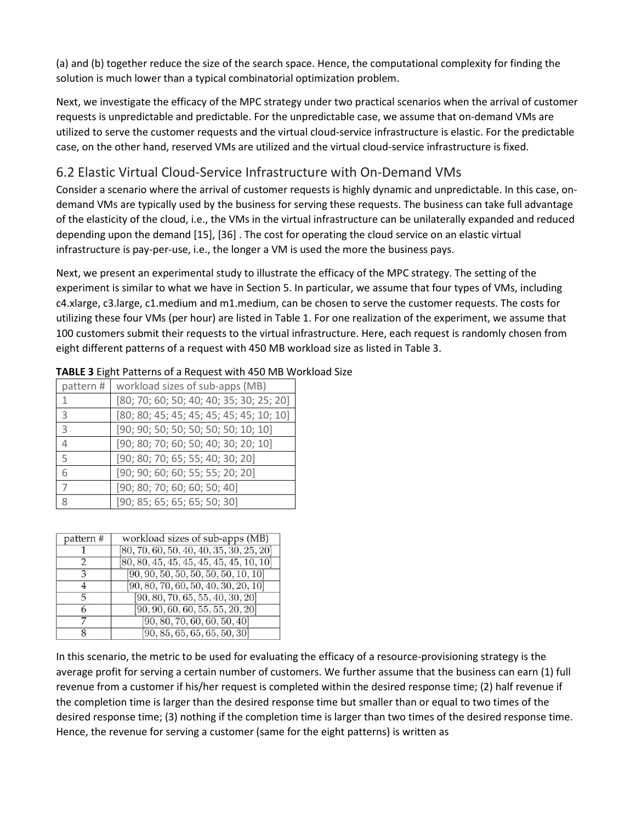(a) and (b) together reduce the size of the search space. Hence, the computational complexity for finding the solution is much lower than a typical combinatorial optimization problem.

Next, we investigate the efficacy of the MPC strategy under two practical scenarios when the arrival of customer requests is unpredictable and predictable. For the unpredictable case, we assume that on-demand VMs are utilized to serve the customer requests and the virtual cloud-service infrastructure is elastic. For the predictable case, on the other hand, reserved VMs are utilized and the virtual cloud-service infrastructure is fixed.

### 6.2 Elastic Virtual Cloud-Service Infrastructure with On-Demand VMs

Consider a scenario where the arrival of customer requests is highly dynamic and unpredictable. In this case, ondemand VMs are typically used by the business for serving these requests. The business can take full advantage of the elasticity of the cloud, i.e., the VMs in the virtual infrastructure can be unilaterally expanded and reduced depending upon the demand [15], [36] . The cost for operating the cloud service on an elastic virtual infrastructure is pay-per-use, i.e., the longer a VM is used the more the business pays.

Next, we present an experimental study to illustrate the efficacy of the MPC strategy. The setting of the experiment is similar to what we have in Section 5. In particular, we assume that four types of VMs, including c4.xlarge, c3.large, c1.medium and m1.medium, can be chosen to serve the customer requests. The costs for utilizing these four VMs (per hour) are listed in Table 1. For one realization of the experiment, we assume that 100 customers submit their requests to the virtual infrastructure. Here, each request is randomly chosen from eight different patterns of a request with 450 MB workload size as listed in Table 3.

| pattern#       | workload sizes of sub-apps (MB)          |
|----------------|------------------------------------------|
| 1              | [80; 70; 60; 50; 40; 40; 35; 30; 25; 20] |
| 3              | [80; 80; 45; 45; 45; 45; 45; 45; 10; 10] |
| 3              | [90; 90; 50; 50; 50; 50; 50; 10; 10]     |
| 4              | [90; 80; 70; 60; 50; 40; 30; 20; 10]     |
| 5              | [90; 80; 70; 65; 55; 40; 30; 20]         |
| 6              | [90; 90; 60; 60; 55; 55; 20; 20]         |
| $\overline{7}$ | [90; 80; 70; 60; 60; 50; 40]             |
| 8              | [90; 85; 65; 65; 65; 50; 30]             |

| TABLE 3 Eight Patterns of a Request with 450 MB Workload Size |  |  |
|---------------------------------------------------------------|--|--|
|                                                               |  |  |

| pattern # | workload sizes of sub-apps (MB)            |
|-----------|--------------------------------------------|
|           | $[80, 70, 60, 50, 40, 40, 35, 30, 25, 20]$ |
|           | $[80, 80, 45, 45, 45, 45, 45, 45, 10, 10]$ |
| З         | [90, 90, 50, 50, 50, 50, 50, 10, 10]       |
| 4         | [90, 80, 70, 60, 50, 40, 30, 20, 10]       |
| 5         | [90, 80, 70, 65, 55, 40, 30, 20]           |
| 6         | [90, 90, 60, 60, 55, 55, 20, 20]           |
|           | [90, 80, 70, 60, 60, 50, 40]               |
| x         | [90, 85, 65, 65, 65, 50, 30]               |

In this scenario, the metric to be used for evaluating the efficacy of a resource-provisioning strategy is the average profit for serving a certain number of customers. We further assume that the business can earn (1) full revenue from a customer if his/her request is completed within the desired response time; (2) half revenue if the completion time is larger than the desired response time but smaller than or equal to two times of the desired response time; (3) nothing if the completion time is larger than two times of the desired response time. Hence, the revenue for serving a customer (same for the eight patterns) is written as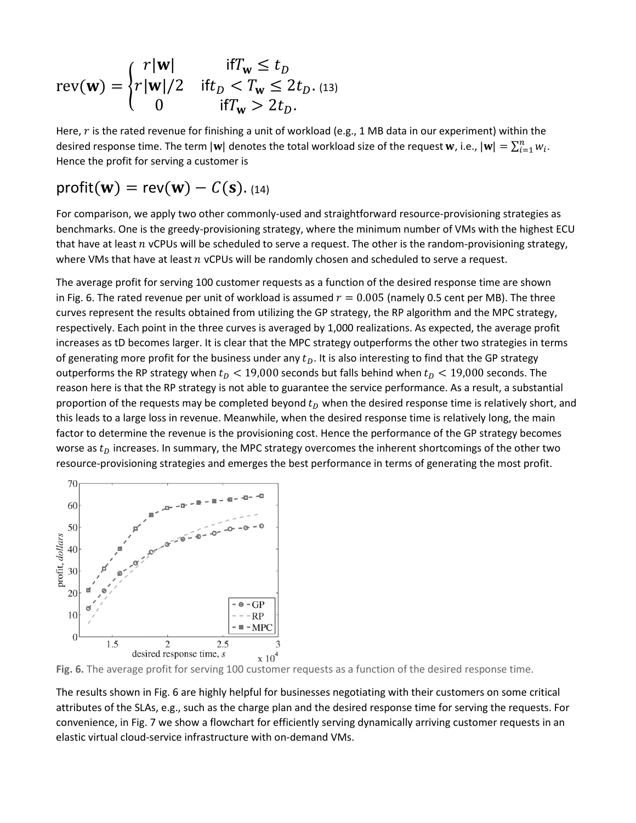$$
rev(\mathbf{w}) = \begin{cases} r|\mathbf{w}| & \text{if } T_{\mathbf{w}} \leq t_D \\ r|\mathbf{w}|/2 & \text{if } t_D < T_{\mathbf{w}} \leq 2t_D. \text{ (13)} \\ 0 & \text{if } T_{\mathbf{w}} > 2t_D. \end{cases}
$$

Here,  $r$  is the rated revenue for finishing a unit of workload (e.g., 1 MB data in our experiment) within the desired response time. The term  $|w|$  denotes the total workload size of the request  $w$ , i.e.,  $|w| = \sum_{i=1}^n w_i$ . Hence the profit for serving a customer is

# $\text{profit}(w) = \text{rev}(w) - C(s)$ . (14)

For comparison, we apply two other commonly-used and straightforward resource-provisioning strategies as benchmarks. One is the greedy-provisioning strategy, where the minimum number of VMs with the highest ECU that have at least  $n$  vCPUs will be scheduled to serve a request. The other is the random-provisioning strategy, where VMs that have at least  $n$  vCPUs will be randomly chosen and scheduled to serve a request.

The average profit for serving 100 customer requests as a function of the desired response time are shown in Fig. 6. The rated revenue per unit of workload is assumed  $r = 0.005$  (namely 0.5 cent per MB). The three curves represent the results obtained from utilizing the GP strategy, the RP algorithm and the MPC strategy, respectively. Each point in the three curves is averaged by 1,000 realizations. As expected, the average profit increases as tD becomes larger. It is clear that the MPC strategy outperforms the other two strategies in terms of generating more profit for the business under any  $t<sub>p</sub>$ . It is also interesting to find that the GP strategy outperforms the RP strategy when  $t_D < 19,000$  seconds but falls behind when  $t_D < 19,000$  seconds. The reason here is that the RP strategy is not able to guarantee the service performance. As a result, a substantial proportion of the requests may be completed beyond  $t<sub>D</sub>$  when the desired response time is relatively short, and this leads to a large loss in revenue. Meanwhile, when the desired response time is relatively long, the main factor to determine the revenue is the provisioning cost. Hence the performance of the GP strategy becomes worse as  $t<sub>D</sub>$  increases. In summary, the MPC strategy overcomes the inherent shortcomings of the other two resource-provisioning strategies and emerges the best performance in terms of generating the most profit.



**Fig. 6.** The average profit for serving 100 customer requests as a function of the desired response time.

The results shown in Fig. 6 are highly helpful for businesses negotiating with their customers on some critical attributes of the SLAs, e.g., such as the charge plan and the desired response time for serving the requests. For convenience, in Fig. 7 we show a flowchart for efficiently serving dynamically arriving customer requests in an elastic virtual cloud-service infrastructure with on-demand VMs.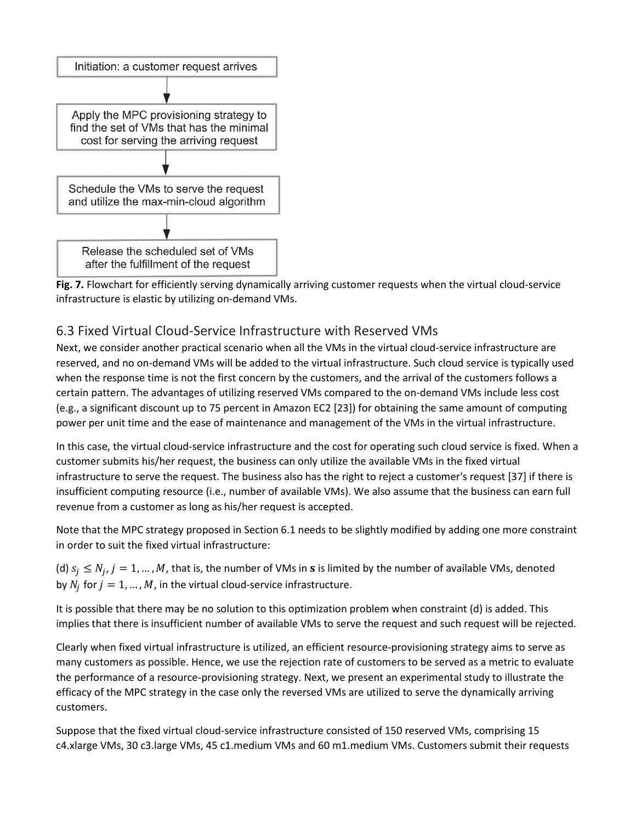



#### 6.3 Fixed Virtual Cloud-Service Infrastructure with Reserved VMs

Next, we consider another practical scenario when all the VMs in the virtual cloud-service infrastructure are reserved, and no on-demand VMs will be added to the virtual infrastructure. Such cloud service is typically used when the response time is not the first concern by the customers, and the arrival of the customers follows a certain pattern. The advantages of utilizing reserved VMs compared to the on-demand VMs include less cost (e.g., a significant discount up to 75 percent in Amazon EC2 [23]) for obtaining the same amount of computing power per unit time and the ease of maintenance and management of the VMs in the virtual infrastructure.

In this case, the virtual cloud-service infrastructure and the cost for operating such cloud service is fixed. When a customer submits his/her request, the business can only utilize the available VMs in the fixed virtual infrastructure to serve the request. The business also has the right to reject a customer's request [37] if there is insufficient computing resource (i.e., number of available VMs). We also assume that the business can earn full revenue from a customer as long as his/her request is accepted.

Note that the MPC strategy proposed in Section 6.1 needs to be slightly modified by adding one more constraint in order to suit the fixed virtual infrastructure:

(d)  $s_i \le N_i$ ,  $j = 1, ..., M$ , that is, the number of VMs in **s** is limited by the number of available VMs, denoted by  $N_i$  for  $j = 1, ..., M$ , in the virtual cloud-service infrastructure.

It is possible that there may be no solution to this optimization problem when constraint (d) is added. This implies that there is insufficient number of available VMs to serve the request and such request will be rejected.

Clearly when fixed virtual infrastructure is utilized, an efficient resource-provisioning strategy aims to serve as many customers as possible. Hence, we use the rejection rate of customers to be served as a metric to evaluate the performance of a resource-provisioning strategy. Next, we present an experimental study to illustrate the efficacy of the MPC strategy in the case only the reversed VMs are utilized to serve the dynamically arriving customers.

Suppose that the fixed virtual cloud-service infrastructure consisted of 150 reserved VMs, comprising 15 c4.xlarge VMs, 30 c3.large VMs, 45 c1.medium VMs and 60 m1.medium VMs. Customers submit their requests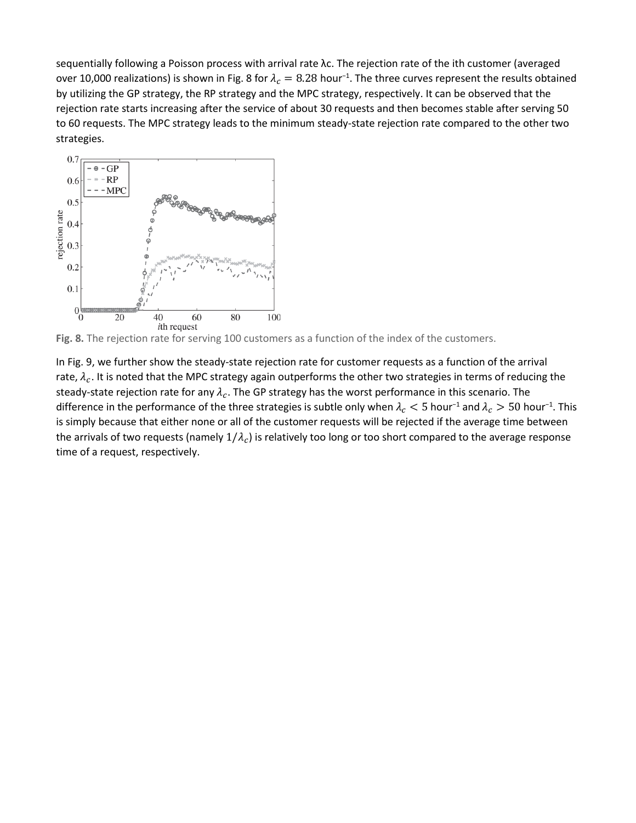sequentially following a Poisson process with arrival rate λc. The rejection rate of the ith customer (averaged over 10,000 realizations) is shown in Fig. 8 for  $\lambda_c=8.28$  hour<sup>-1</sup>. The three curves represent the results obtained by utilizing the GP strategy, the RP strategy and the MPC strategy, respectively. It can be observed that the rejection rate starts increasing after the service of about 30 requests and then becomes stable after serving 50 to 60 requests. The MPC strategy leads to the minimum steady-state rejection rate compared to the other two strategies.



**Fig. 8.** The rejection rate for serving 100 customers as a function of the index of the customers.

In Fig. 9, we further show the steady-state rejection rate for customer requests as a function of the arrival rate,  $\lambda_c$ . It is noted that the MPC strategy again outperforms the other two strategies in terms of reducing the steady-state rejection rate for any  $\lambda_c$ . The GP strategy has the worst performance in this scenario. The difference in the performance of the three strategies is subtle only when  $\lambda_c < 5$  hour<sup>-1</sup> and  $\lambda_c > 50$  hour<sup>-1</sup>. This is simply because that either none or all of the customer requests will be rejected if the average time between the arrivals of two requests (namely  $1/\lambda_c$ ) is relatively too long or too short compared to the average response time of a request, respectively.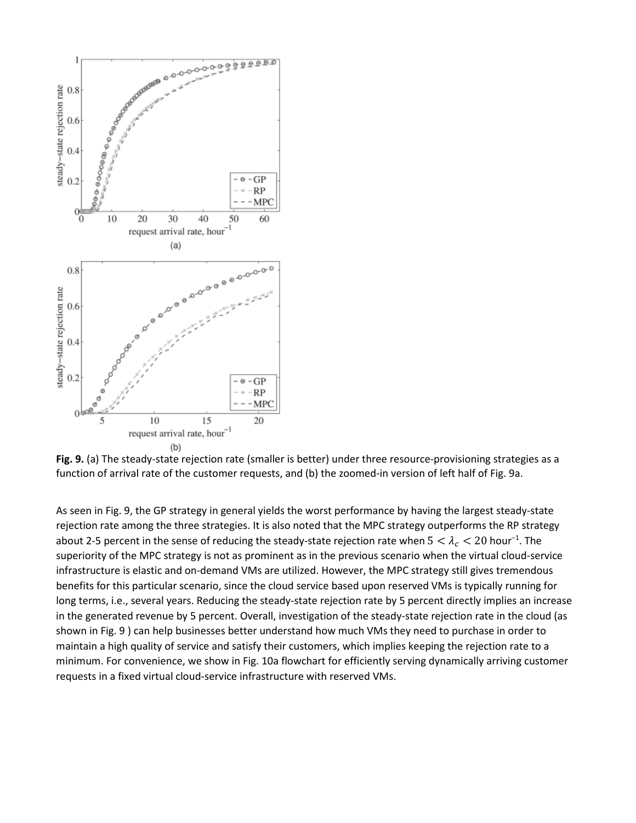

**Fig. 9.** (a) The steady-state rejection rate (smaller is better) under three resource-provisioning strategies as a function of arrival rate of the customer requests, and (b) the zoomed-in version of left half of Fig. 9a.

As seen in Fig. 9, the GP strategy in general yields the worst performance by having the largest steady-state rejection rate among the three strategies. It is also noted that the MPC strategy outperforms the RP strategy about 2-5 percent in the sense of reducing the steady-state rejection rate when  $5 < \lambda_c < 20$  hour<sup>-1</sup>. The superiority of the MPC strategy is not as prominent as in the previous scenario when the virtual cloud-service infrastructure is elastic and on-demand VMs are utilized. However, the MPC strategy still gives tremendous benefits for this particular scenario, since the cloud service based upon reserved VMs is typically running for long terms, i.e., several years. Reducing the steady-state rejection rate by 5 percent directly implies an increase in the generated revenue by 5 percent. Overall, investigation of the steady-state rejection rate in the cloud (as shown in Fig. 9 ) can help businesses better understand how much VMs they need to purchase in order to maintain a high quality of service and satisfy their customers, which implies keeping the rejection rate to a minimum. For convenience, we show in Fig. 10a flowchart for efficiently serving dynamically arriving customer requests in a fixed virtual cloud-service infrastructure with reserved VMs.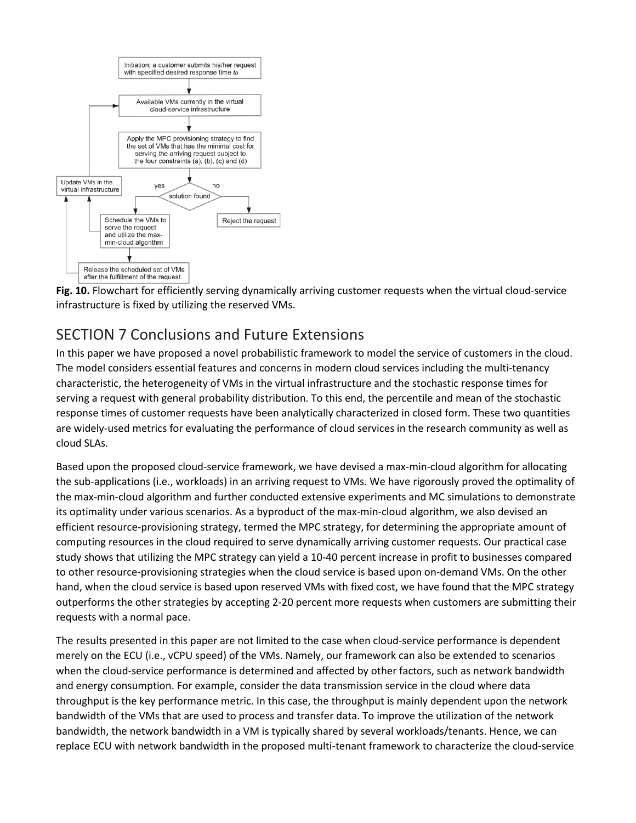



# SECTION 7 Conclusions and Future Extensions

In this paper we have proposed a novel probabilistic framework to model the service of customers in the cloud. The model considers essential features and concerns in modern cloud services including the multi-tenancy characteristic, the heterogeneity of VMs in the virtual infrastructure and the stochastic response times for serving a request with general probability distribution. To this end, the percentile and mean of the stochastic response times of customer requests have been analytically characterized in closed form. These two quantities are widely-used metrics for evaluating the performance of cloud services in the research community as well as cloud SLAs.

Based upon the proposed cloud-service framework, we have devised a max-min-cloud algorithm for allocating the sub-applications (i.e., workloads) in an arriving request to VMs. We have rigorously proved the optimality of the max-min-cloud algorithm and further conducted extensive experiments and MC simulations to demonstrate its optimality under various scenarios. As a byproduct of the max-min-cloud algorithm, we also devised an efficient resource-provisioning strategy, termed the MPC strategy, for determining the appropriate amount of computing resources in the cloud required to serve dynamically arriving customer requests. Our practical case study shows that utilizing the MPC strategy can yield a 10-40 percent increase in profit to businesses compared to other resource-provisioning strategies when the cloud service is based upon on-demand VMs. On the other hand, when the cloud service is based upon reserved VMs with fixed cost, we have found that the MPC strategy outperforms the other strategies by accepting 2-20 percent more requests when customers are submitting their requests with a normal pace.

The results presented in this paper are not limited to the case when cloud-service performance is dependent merely on the ECU (i.e., vCPU speed) of the VMs. Namely, our framework can also be extended to scenarios when the cloud-service performance is determined and affected by other factors, such as network bandwidth and energy consumption. For example, consider the data transmission service in the cloud where data throughput is the key performance metric. In this case, the throughput is mainly dependent upon the network bandwidth of the VMs that are used to process and transfer data. To improve the utilization of the network bandwidth, the network bandwidth in a VM is typically shared by several workloads/tenants. Hence, we can replace ECU with network bandwidth in the proposed multi-tenant framework to characterize the cloud-service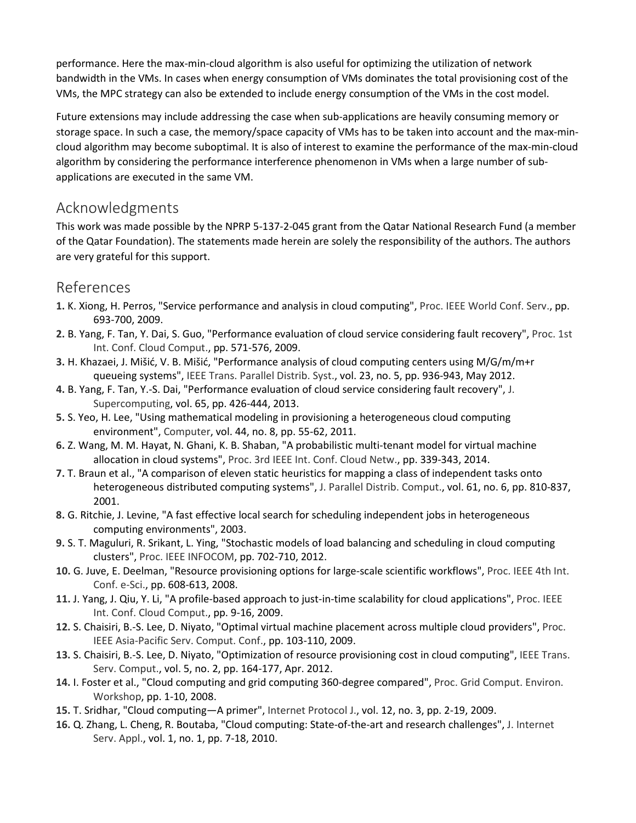performance. Here the max-min-cloud algorithm is also useful for optimizing the utilization of network bandwidth in the VMs. In cases when energy consumption of VMs dominates the total provisioning cost of the VMs, the MPC strategy can also be extended to include energy consumption of the VMs in the cost model.

Future extensions may include addressing the case when sub-applications are heavily consuming memory or storage space. In such a case, the memory/space capacity of VMs has to be taken into account and the max-mincloud algorithm may become suboptimal. It is also of interest to examine the performance of the max-min-cloud algorithm by considering the performance interference phenomenon in VMs when a large number of subapplications are executed in the same VM.

### Acknowledgments

This work was made possible by the NPRP 5-137-2-045 grant from the Qatar National Research Fund (a member of the Qatar Foundation). The statements made herein are solely the responsibility of the authors. The authors are very grateful for this support.

### References

- **1.** K. Xiong, H. Perros, "Service performance and analysis in cloud computing", Proc. IEEE World Conf. Serv., pp. 693-700, 2009.
- **2.** B. Yang, F. Tan, Y. Dai, S. Guo, "Performance evaluation of cloud service considering fault recovery", Proc. 1st Int. Conf. Cloud Comput., pp. 571-576, 2009.
- **3.** H. Khazaei, J. Mišić, V. B. Mišić, "Performance analysis of cloud computing centers using M/G/m/m+r queueing systems", IEEE Trans. Parallel Distrib. Syst., vol. 23, no. 5, pp. 936-943, May 2012.
- **4.** B. Yang, F. Tan, Y.-S. Dai, "Performance evaluation of cloud service considering fault recovery", J. Supercomputing, vol. 65, pp. 426-444, 2013.
- **5.** S. Yeo, H. Lee, "Using mathematical modeling in provisioning a heterogeneous cloud computing environment", Computer, vol. 44, no. 8, pp. 55-62, 2011.
- **6.** Z. Wang, M. M. Hayat, N. Ghani, K. B. Shaban, "A probabilistic multi-tenant model for virtual machine allocation in cloud systems", Proc. 3rd IEEE Int. Conf. Cloud Netw., pp. 339-343, 2014.
- **7.** T. Braun et al., "A comparison of eleven static heuristics for mapping a class of independent tasks onto heterogeneous distributed computing systems", J. Parallel Distrib. Comput., vol. 61, no. 6, pp. 810-837, 2001.
- **8.** G. Ritchie, J. Levine, "A fast effective local search for scheduling independent jobs in heterogeneous computing environments", 2003.
- **9.** S. T. Maguluri, R. Srikant, L. Ying, "Stochastic models of load balancing and scheduling in cloud computing clusters", Proc. IEEE INFOCOM, pp. 702-710, 2012.
- **10.** G. Juve, E. Deelman, "Resource provisioning options for large-scale scientific workflows", Proc. IEEE 4th Int. Conf. e-Sci., pp. 608-613, 2008.
- **11.** J. Yang, J. Qiu, Y. Li, "A profile-based approach to just-in-time scalability for cloud applications", Proc. IEEE Int. Conf. Cloud Comput., pp. 9-16, 2009.
- **12.** S. Chaisiri, B.-S. Lee, D. Niyato, "Optimal virtual machine placement across multiple cloud providers", Proc. IEEE Asia-Pacific Serv. Comput. Conf., pp. 103-110, 2009.
- **13.** S. Chaisiri, B.-S. Lee, D. Niyato, "Optimization of resource provisioning cost in cloud computing", IEEE Trans. Serv. Comput., vol. 5, no. 2, pp. 164-177, Apr. 2012.
- **14.** I. Foster et al., "Cloud computing and grid computing 360-degree compared", Proc. Grid Comput. Environ. Workshop, pp. 1-10, 2008.
- **15.** T. Sridhar, "Cloud computing—A primer", Internet Protocol J., vol. 12, no. 3, pp. 2-19, 2009.
- **16.** Q. Zhang, L. Cheng, R. Boutaba, "Cloud computing: State-of-the-art and research challenges", J. Internet Serv. Appl., vol. 1, no. 1, pp. 7-18, 2010.